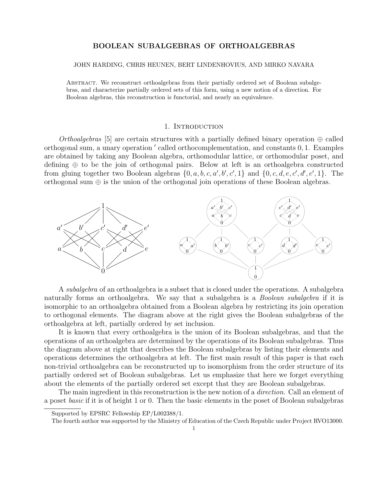# BOOLEAN SUBALGEBRAS OF ORTHOALGEBRAS

#### JOHN HARDING, CHRIS HEUNEN, BERT LINDENHOVIUS, AND MIRKO NAVARA

Abstract. We reconstruct orthoalgebras from their partially ordered set of Boolean subalgebras, and characterize partially ordered sets of this form, using a new notion of a direction. For Boolean algebras, this reconstruction is functorial, and nearly an equivalence.

### 1. Introduction

Orthoalgebras [5] are certain structures with a partially defined binary operation  $\oplus$  called orthogonal sum, a unary operation ' called orthocomplementation, and constants 0, 1. Examples are obtained by taking any Boolean algebra, orthomodular lattice, or orthomodular poset, and defining ⊕ to be the join of orthogonal pairs. Below at left is an orthoalgebra constructed from gluing together two Boolean algebras  $\{0, a, b, c, a', b', c', 1\}$  and  $\{0, c, d, e, c', d', e', 1\}$ . The orthogonal sum ⊕ is the union of the orthogonal join operations of these Boolean algebras.



A subalgebra of an orthoalgebra is a subset that is closed under the operations. A subalgebra naturally forms an orthoalgebra. We say that a subalgebra is a *Boolean subalgebra* if it is isomorphic to an orthoalgebra obtained from a Boolean algebra by restricting its join operation to orthogonal elements. The diagram above at the right gives the Boolean subalgebras of the orthoalgebra at left, partially ordered by set inclusion.

It is known that every orthoalgebra is the union of its Boolean subalgebras, and that the operations of an orthoalgebra are determined by the operations of its Boolean subalgebras. Thus the diagram above at right that describes the Boolean subalgebras by listing their elements and operations determines the orthoalgebra at left. The first main result of this paper is that each non-trivial orthoalgebra can be reconstructed up to isomorphism from the order structure of its partially ordered set of Boolean subalgebras. Let us emphasize that here we forget everything about the elements of the partially ordered set except that they are Boolean subalgebras.

The main ingredient in this reconstruction is the new notion of a *direction*. Call an element of a poset basic if it is of height 1 or 0. Then the basic elements in the poset of Boolean subalgebras

Supported by EPSRC Fellowship EP/L002388/1.

The fourth author was supported by the Ministry of Education of the Czech Republic under Project RVO13000.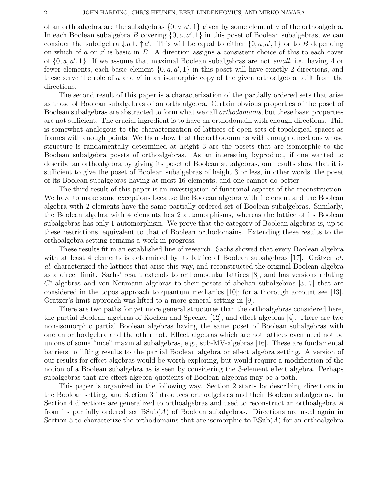of an orthoalgebra are the subalgebras  $\{0, a, a', 1\}$  given by some element a of the orthoalgebra. In each Boolean subalgebra B covering  $\{0, a, a', 1\}$  in this poset of Boolean subalgebras, we can consider the subalgebra  $\downarrow a \cup \uparrow a'$ . This will be equal to either  $\{0, a, a', 1\}$  or to B depending on which of  $a$  or  $a'$  is basic in  $B$ . A direction assigns a consistent choice of this to each cover of  $\{0, a, a', 1\}$ . If we assume that maximal Boolean subalgebras are not small, i.e. having 4 or fewer elements, each basic element  $\{0, a, a', 1\}$  in this poset will have exactly 2 directions, and these serve the role of  $a$  and  $a'$  in an isomorphic copy of the given orthoalgebra built from the directions.

The second result of this paper is a characterization of the partially ordered sets that arise as those of Boolean subalgebras of an orthoalgebra. Certain obvious properties of the poset of Boolean subalgebras are abstracted to form what we call orthodomains, but these basic properties are not sufficient. The crucial ingredient is to have an orthodomain with enough directions. This is somewhat analogous to the characterization of lattices of open sets of topological spaces as frames with enough points. We then show that the orthodomains with enough directions whose structure is fundamentally determined at height 3 are the posets that are isomorphic to the Boolean subalgebra posets of orthoalgebras. As an interesting byproduct, if one wanted to describe an orthoalgebra by giving its poset of Boolean subalgebras, our results show that it is sufficient to give the poset of Boolean subalgebras of height 3 or less, in other words, the poset of its Boolean subalgebras having at most 16 elements, and one cannot do better.

The third result of this paper is an investigation of functorial aspects of the reconstruction. We have to make some exceptions because the Boolean algebra with 1 element and the Boolean algebra with 2 elements have the same partially ordered set of Boolean subalgebras. Similarly, the Boolean algebra with 4 elements has 2 automorphisms, whereas the lattice of its Boolean subalgebras has only 1 automorphism. We prove that the category of Boolean algebras is, up to these restrictions, equivalent to that of Boolean orthodomains. Extending these results to the orthoalgebra setting remains a work in progress.

These results fit in an established line of research. Sachs showed that every Boolean algebra with at least 4 elements is determined by its lattice of Boolean subalgebras [17]. Grätzer  $et$ . al. characterized the lattices that arise this way, and reconstructed the original Boolean algebra as a direct limit. Sachs' result extends to orthomodular lattices [8], and has versions relating  $C^*$ -algebras and von Neumann algebras to their posets of abelian subalgebras [3, 7] that are considered in the topos approach to quantum mechanics [10]; for a thorough account see [13]. Grätzer's limit approach was lifted to a more general setting in [9].

There are two paths for yet more general structures than the orthoalgebras considered here, the partial Boolean algebras of Kochen and Specker [12], and effect algebras [4]. There are two non-isomorphic partial Boolean algebras having the same poset of Boolean subalgebras with one an orthoalgebra and the other not. Effect algebras which are not lattices even need not be unions of some "nice" maximal subalgebras, e.g., sub-MV-algebras [16]. These are fundamental barriers to lifting results to the partial Boolean algebra or effect algebra setting. A version of our results for effect algebras would be worth exploring, but would require a modification of the notion of a Boolean subalgebra as is seen by considering the 3-element effect algebra. Perhaps subalgebras that are effect algebra quotients of Boolean algebras may be a path.

This paper is organized in the following way. Section 2 starts by describing directions in the Boolean setting, and Section 3 introduces orthoalgebras and their Boolean subalgebras. In Section 4 directions are generalized to orthoalgebras and used to reconstruct an orthoalgebra A from its partially ordered set  $BSub(A)$  of Boolean subalgebras. Directions are used again in Section 5 to characterize the orthodomains that are isomorphic to  $BSub(A)$  for an orthoalgebra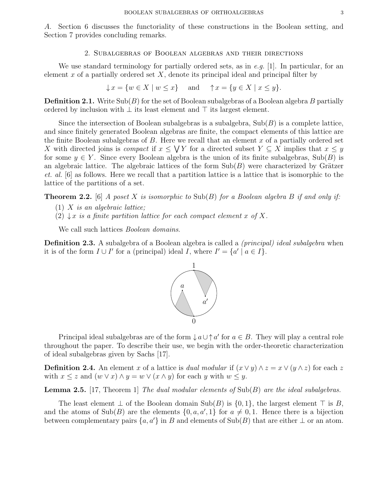A. Section 6 discusses the functoriality of these constructions in the Boolean setting, and Section 7 provides concluding remarks.

### 2. Subalgebras of Boolean algebras and their directions

We use standard terminology for partially ordered sets, as in e.g. [1]. In particular, for an element x of a partially ordered set  $X$ , denote its principal ideal and principal filter by

 $\downarrow x = \{w \in X \mid w \leq x\}$  and  $\uparrow x = \{y \in X \mid x \leq y\}.$ 

**Definition 2.1.** Write  $\text{Sub}(B)$  for the set of Boolean subalgebras of a Boolean algebra B partially ordered by inclusion with  $\perp$  its least element and  $\top$  its largest element.

Since the intersection of Boolean subalgebras is a subalgebra,  $\text{Sub}(B)$  is a complete lattice, and since finitely generated Boolean algebras are finite, the compact elements of this lattice are the finite Boolean subalgebras of  $B$ . Here we recall that an element  $x$  of a partially ordered set X with directed joins is *compact* if  $x \leq \bigvee Y$  for a directed subset  $Y \subseteq X$  implies that  $x \leq y$ for some  $y \in Y$ . Since every Boolean algebra is the union of its finite subalgebras, Sub(B) is an algebraic lattice. The algebraic lattices of the form  $\text{Sub}(B)$  were characterized by Grätzer et. al. [6] as follows. Here we recall that a partition lattice is a lattice that is isomorphic to the lattice of the partitions of a set.

**Theorem 2.2.** [6] A poset X is isomorphic to  $\text{Sub}(B)$  for a Boolean algebra B if and only if:

- $(1)$  X is an algebraic lattice;
- (2)  $\downarrow x$  is a finite partition lattice for each compact element x of X.

We call such lattices *Boolean domains*.

Definition 2.3. A subalgebra of a Boolean algebra is called a *(principal) ideal subalgebra* when it is of the form  $I \cup I'$  for a (principal) ideal I, where  $I' = \{a' \mid a \in I\}$ .



Principal ideal subalgebras are of the form  $\downarrow a \cup \uparrow a'$  for  $a \in B$ . They will play a central role throughout the paper. To describe their use, we begin with the order-theoretic characterization of ideal subalgebras given by Sachs [17].

**Definition 2.4.** An element x of a lattice is *dual modular* if  $(x \vee y) \wedge z = x \vee (y \wedge z)$  for each z with  $x \leq z$  and  $(w \vee x) \wedge y = w \vee (x \wedge y)$  for each y with  $w \leq y$ .

**Lemma 2.5.** [17, Theorem 1] The dual modular elements of  $\text{Sub}(B)$  are the ideal subalgebras.

The least element  $\perp$  of the Boolean domain Sub(B) is  $\{0,1\}$ , the largest element  $\top$  is B, and the atoms of Sub(B) are the elements  $\{0, a, a', 1\}$  for  $a \neq 0, 1$ . Hence there is a bijection between complementary pairs  $\{a, a'\}$  in B and elements of Sub(B) that are either  $\perp$  or an atom.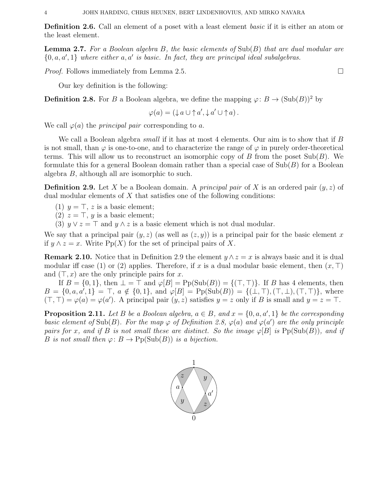Definition 2.6. Call an element of a poset with a least element *basic* if it is either an atom or the least element.

**Lemma 2.7.** For a Boolean algebra B, the basic elements of  $\text{Sub}(B)$  that are dual modular are  $\{0, a, a', 1\}$  where either  $a, a'$  is basic. In fact, they are principal ideal subalgebras.

*Proof.* Follows immediately from Lemma 2.5.

Our key definition is the following:

**Definition 2.8.** For B a Boolean algebra, we define the mapping  $\varphi: B \to (\text{Sub}(B))^2$  by

$$
\varphi(a) = (\downarrow a \cup \uparrow a', \downarrow a' \cup \uparrow a).
$$

We call  $\varphi(a)$  the *principal pair* corresponding to a.

We call a Boolean algebra *small* if it has at most 4 elements. Our aim is to show that if B is not small, than  $\varphi$  is one-to-one, and to characterize the range of  $\varphi$  in purely order-theoretical terms. This will allow us to reconstruct an isomorphic copy of B from the poset  $\text{Sub}(B)$ . We formulate this for a general Boolean domain rather than a special case of  $\text{Sub}(B)$  for a Boolean algebra B, although all are isomorphic to such.

**Definition 2.9.** Let X be a Boolean domain. A *principal pair* of X is an ordered pair  $(y, z)$  of dual modular elements of X that satisfies one of the following conditions:

- (1)  $y = \top$ , z is a basic element;
- (2)  $z = \top$ , y is a basic element;
- (3)  $y \vee z = \top$  and  $y \wedge z$  is a basic element which is not dual modular.

We say that a principal pair  $(y, z)$  (as well as  $(z, y)$ ) is a principal pair for the basic element x if  $y \wedge z = x$ . Write Pp(X) for the set of principal pairs of X.

**Remark 2.10.** Notice that in Definition 2.9 the element  $y \wedge z = x$  is always basic and it is dual modular iff case (1) or (2) applies. Therefore, if x is a dual modular basic element, then  $(x, \top)$ and  $(T, x)$  are the only principle pairs for x.

If  $B = \{0, 1\}$ , then  $\bot = \top$  and  $\varphi[B] = \text{Pp}(\text{Sub}(B)) = \{(\top, \top)\}\$ . If B has 4 elements, then  $B = \{0, a, a', 1\} = \top$ ,  $a \notin \{0, 1\}$ , and  $\varphi[B] = \text{Pp}(\text{Sub}(B)) = \{(\bot, \top), (\top, \bot), (\top, \top)\}$ , where  $(\top, \top) = \varphi(a) = \varphi(a')$ . A principal pair  $(y, z)$  satisfies  $y = z$  only if B is small and  $y = z = \top$ .

**Proposition 2.11.** Let B be a Boolean algebra,  $a \in B$ , and  $x = \{0, a, a', 1\}$  be the corresponding basic element of Sub(B). For the map  $\varphi$  of Definition 2.8,  $\varphi(a)$  and  $\varphi(a')$  are the only principle pairs for x, and if B is not small these are distinct. So the image  $\varphi[B]$  is  $\text{Pp}(\text{Sub}(B))$ , and if B is not small then  $\varphi: B \to \mathrm{Pp}(\mathrm{Sub}(B))$  is a bijection.

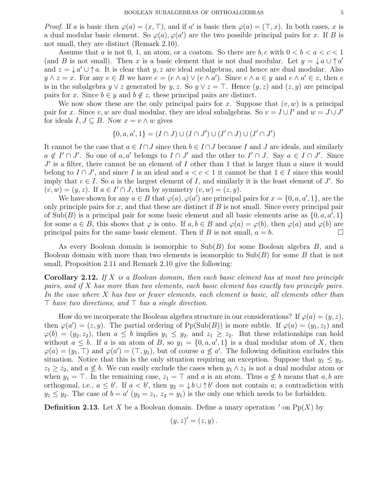*Proof.* If a is basic then  $\varphi(a) = (x, \top)$ , and if a' is basic then  $\varphi(a) = (\top, x)$ . In both cases, x is a dual modular basic element. So  $\varphi(a), \varphi(a')$  are the two possible principal pairs for x. If B is not small, they are distinct (Remark 2.10).

Assume that a is not 0, 1, an atom, or a coatom. So there are b, c with  $0 < b < a < c < 1$ (and B is not small). Then x is a basic element that is not dual modular. Let  $y = \int a \cup \uparrow a'$ and  $z = \frac{1}{v} a' \cup a$ . It is clear that y, z are ideal subalgebras, and hence are dual modular. Also  $y \wedge z = x$ . For any  $e \in B$  we have  $e = (e \wedge a) \vee (e \wedge a')$ . Since  $e \wedge a \in y$  and  $e \wedge a' \in z$ , then  $e$ is in the subalgebra  $y \vee z$  generated by  $y, z$ . So  $y \vee z = \top$ . Hence  $(y, z)$  and  $(z, y)$  are principal pairs for x. Since  $b \in y$  and  $b \notin z$ , these principal pairs are distinct.

We now show these are the only principal pairs for x. Suppose that  $(v, w)$  is a principal pair for x. Since v, w are dual modular, they are ideal subalgebras. So  $v = I \cup I'$  and  $w = J \cup J'$ for ideals  $I, J \subseteq B$ . Now  $x = v \wedge w$  gives

$$
\{0, a, a', 1\} = (I \cap J) \cup (I \cap J') \cup (I' \cap J) \cup (I' \cap J')
$$

It cannot be the case that  $a \in I \cap J$  since then  $b \in I \cap J$  because I and J are ideals, and similarly  $a \notin I' \cap J'$ . So one of  $a, a'$  belongs to  $I \cap J'$  and the other to  $I' \cap J$ . Say  $a \in I \cap J'$ . Since  $J'$  is a filter, there cannot be an element of I other than 1 that is larger than a since it would belong to  $I \cap J'$ , and since I is an ideal and  $a < c < 1$  it cannot be that  $1 \in I$  since this would imply that  $c \in I$ . So a is the largest element of I, and similarly it is the least element of J'. So  $(v, w) = (y, z)$ . If  $a \in I' \cap J$ , then by symmetry  $(v, w) = (z, y)$ .

We have shown for any  $a \in B$  that  $\varphi(a), \varphi(a')$  are principal pairs for  $x = \{0, a, a', 1\}$ , are the only principle pairs for x, and that these are distinct if  $B$  is not small. Since every principal pair of Sub(B) is a principal pair for some basic element and all basic elements arise as  $\{0, a, a', 1\}$ for some  $a \in B$ , this shows that  $\varphi$  is onto. If  $a, b \in B$  and  $\varphi(a) = \varphi(b)$ , then  $\varphi(a)$  and  $\varphi(b)$  are principal pairs for the same basic element. Then if B is not small,  $a = b$ .

As every Boolean domain is isomorphic to  $\text{Sub}(B)$  for some Boolean algebra B, and a Boolean domain with more than two elements is isomorphic to  $\text{Sub}(B)$  for some B that is not small, Proposition 2.11 and Remark 2.10 give the following:

**Corollary 2.12.** If X is a Boolean domain, then each basic element has at most two principle pairs, and if X has more than two elements, each basic element has exactly two principle pairs. In the case where X has two or fewer elements, each element is basic, all elements other than  $\top$  have two directions, and  $\top$  has a single direction.

How do we incorporate the Boolean algebra structure in our considerations? If  $\varphi(a) = (y, z)$ , then  $\varphi(a') = (z, y)$ . The partial ordering of Pp(Sub(B)) is more subtle. If  $\varphi(a) = (y_1, z_1)$  and  $\varphi(b) = (y_2, z_2)$ , then  $a \leq b$  implies  $y_1 \leq y_2$ , and  $z_1 \geq z_2$ . But these relationships can hold without  $a \leq b$ . If a is an atom of B, so  $y_1 = \{0, a, a', 1\}$  is a dual modular atom of X, then  $\varphi(a)=(y_1,\top)$  and  $\varphi(a')=(\top,y_1)$ , but of course  $a\not\leq a'$ . The following definition excludes this situation. Notice that this is the only situation requiring an exception. Suppose that  $y_1 \le y_2$ ,  $z_1 \geq z_2$ , and  $a \nleq b$ . We can easily exclude the cases when  $y_1 \wedge z_1$  is not a dual modular atom or when  $y_1 = \top$ . In the remaining case,  $z_1 = \top$  and a is an atom. Thus  $a \not\leq b$  means that  $a, b$  are orthogonal, i.e.,  $a \leq b'$ . If  $a < b'$ , then  $y_2 = \downarrow b \cup \uparrow b'$  does not contain a; a contradiction with  $y_1 \leq y_2$ . The case of  $b = a'$   $(y_2 = z_1, z_2 = y_1)$  is the only one which needs to be forbidden.

**Definition 2.13.** Let X be a Boolean domain. Define a unary operation ' on Pp(X) by

$$
(y,z)'=(z,y).
$$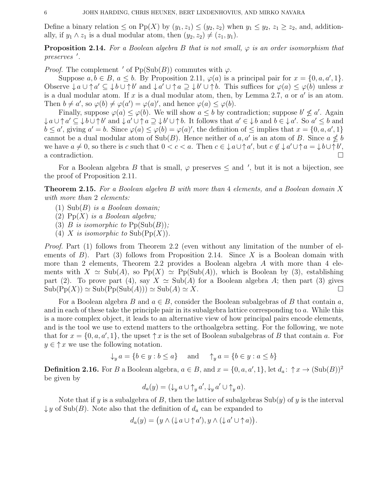Define a binary relation  $\leq$  on Pp(X) by  $(y_1, z_1) \leq (y_2, z_2)$  when  $y_1 \leq y_2, z_1 \geq z_2$ , and, additionally, if  $y_1 \wedge z_1$  is a dual modular atom, then  $(y_2, z_2) \neq (z_1, y_1)$ .

**Proposition 2.14.** For a Boolean algebra B that is not small,  $\varphi$  is an order isomorphism that preserves'.

*Proof.* The complement  $\prime$  of Pp(Sub(B)) commutes with  $\varphi$ .

Suppose  $a, b \in B$ ,  $a \leq b$ . By Proposition 2.11,  $\varphi(a)$  is a principal pair for  $x = \{0, a, a', 1\}$ . Observe  $\downarrow a \cup a' \subseteq \downarrow b \cup a' \cup a' \cup a \supseteq b' \cup a \supseteq b' \cup a'$ . This suffices for  $\varphi(a) \leq \varphi(b)$  unless x is a dual modular atom. If  $x$  is a dual modular atom, then, by Lemma 2.7,  $a$  or  $a'$  is an atom. Then  $b \neq a'$ , so  $\varphi(b) \neq \varphi(a') = \varphi(a)'$ , and hence  $\varphi(a) \leq \varphi(b)$ .

Finally, suppose  $\varphi(a) \leq \varphi(b)$ . We will show  $a \leq b$  by contradiction; suppose  $b' \nleq a'$ . Again  $\downarrow a \cup \uparrow a' \subseteq \downarrow b \cup \uparrow b'$  and  $\downarrow a' \cup \uparrow a \supseteq \downarrow b' \cup \uparrow b$ . It follows that  $a' \in \downarrow b$  and  $b \in \downarrow a'$ . So  $a' \leq b$  and  $b \le a'$ , giving  $a' = b$ . Since  $\varphi(a) \le \varphi(b) = \varphi(a)'$ , the definition of  $\le$  implies that  $x = \{0, a, a', 1\}$ cannot be a dual modular atom of  $\text{Sub}(B)$ . Hence neither of a, a' is an atom of B. Since  $a \nleq b$ we have  $a \neq 0$ , so there is c such that  $0 < c < a$ . Then  $c \in \mathcal{L}$  a $\cup \uparrow a'$ , but  $c \notin \mathcal{L}$  a'  $\cup \uparrow a = \mathcal{L}$ b $\cup \uparrow b'$ , a contradiction.  $\Box$ 

For a Boolean algebra B that is small,  $\varphi$  preserves  $\leq$  and ', but it is not a bijection, see the proof of Proposition 2.11.

Theorem 2.15. For a Boolean algebra B with more than 4 elements, and a Boolean domain X with more than 2 elements:

- $(1)$  Sub $(B)$  is a Boolean domain;
- (2)  $\text{Pp}(X)$  is a Boolean algebra;
- (3) B is isomorphic to  $\text{Pp}(\text{Sub}(B))$ ;
- (4) X is isomorphic to  $\text{Sub}(\text{Pp}(X))$ .

Proof. Part (1) follows from Theorem 2.2 (even without any limitation of the number of elements of  $B$ ). Part (3) follows from Proposition 2.14. Since X is a Boolean domain with more than 2 elements, Theorem 2.2 provides a Boolean algebra A with more than 4 elements with  $X \simeq Sub(A)$ , so  $Pp(X) \simeq Pp(Sub(A))$ , which is Boolean by (3), establishing part (2). To prove part (4), say  $X \simeq Sub(A)$  for a Boolean algebra A; then part (3) gives  $\text{Sub}(\text{Pp}(X)) \simeq \text{Sub}(\text{Pp}(\text{Sub}(A))) \simeq \text{Sub}(A) \simeq X.$ 

For a Boolean algebra B and  $a \in B$ , consider the Boolean subalgebras of B that contain a, and in each of these take the principle pair in its subalgebra lattice corresponding to a. While this is a more complex object, it leads to an alternative view of how principal pairs encode elements, and is the tool we use to extend matters to the orthoalgebra setting. For the following, we note that for  $x = \{0, a, a', 1\}$ , the upset  $\uparrow x$  is the set of Boolean subalgebras of B that contain a. For  $y \in \uparrow x$  we use the following notation.

$$
\downarrow_y a = \{b \in y : b \le a\} \quad \text{and} \quad \uparrow_y a = \{b \in y : a \le b\}
$$

**Definition 2.16.** For B a Boolean algebra,  $a \in B$ , and  $x = \{0, a, a', 1\}$ , let  $d_a: \uparrow x \to (\text{Sub}(B))^2$ be given by

$$
d_a(y) = (\downarrow_y a \cup \uparrow_y a', \downarrow_y a' \cup \uparrow_y a).
$$

Note that if y is a subalgebra of B, then the lattice of subalgebras  $\text{Sub}(y)$  of y is the interval  $\downarrow y$  of Sub(B). Note also that the definition of  $d_a$  can be expanded to

$$
d_a(y) = (y \wedge (\downarrow a \cup \uparrow a'), y \wedge (\downarrow a' \cup \uparrow a)).
$$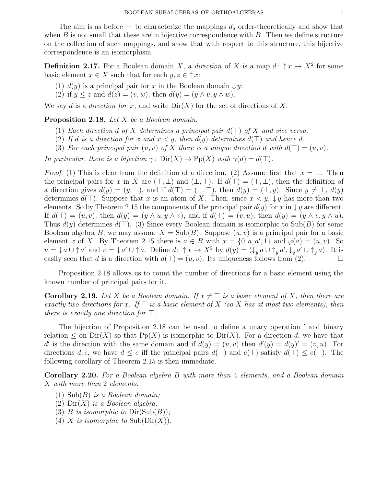The aim is as before — to characterize the mappings  $d_a$  order-theoretically and show that when  $B$  is not small that these are in bijective correspondence with  $B$ . Then we define structure on the collection of such mappings, and show that with respect to this structure, this bijective correspondence is an isomorphism.

**Definition 2.17.** For a Boolean domain X, a *direction* of X is a map  $d: \uparrow x \to X^2$  for some basic element  $x \in X$  such that for each  $y, z \in \uparrow x$ :

- (1)  $d(y)$  is a principal pair for x in the Boolean domain  $\downarrow y$ ;
- (2) if  $y \leq z$  and  $d(z) = (v, w)$ , then  $d(y) = (y \wedge v, y \wedge w)$ .

We say d is a direction for x, and write  $Dir(X)$  for the set of directions of X.

Proposition 2.18. Let X be a Boolean domain.

- (1) Each direction d of X determines a principal pair  $d(\top)$  of X and vice versa.
- (2) If d is a direction for x and  $x < y$ , then  $d(y)$  determines  $d(\top)$  and hence d.
- (3) For each principal pair  $(u, v)$  of X there is a unique direction d with  $d(\top) = (u, v)$ .

In particular, there is a bijection  $\gamma: \text{Dir}(X) \to \text{Pp}(X)$  with  $\gamma(d) = d(\top)$ .

*Proof.* (1) This is clear from the definition of a direction. (2) Assume first that  $x = \perp$ . Then the principal pairs for x in X are  $(\top, \bot)$  and  $(\bot, \top)$ . If  $d(\top) = (\top, \bot)$ , then the definition of a direction gives  $d(y) = (y, \perp)$ , and if  $d(\top) = (\perp, \perp)$ , then  $d(y) = (\perp, y)$ . Since  $y \neq \perp$ ,  $d(y)$ determines  $d(\top)$ . Suppose that x is an atom of X. Then, since  $x < y$ ,  $\downarrow y$  has more than two elements. So by Theorem 2.15 the components of the principal pair  $d(y)$  for x in  $\downarrow y$  are different. If  $d(\top) = (u, v)$ , then  $d(y) = (y \wedge u, y \wedge v)$ , and if  $d(\top) = (v, u)$ , then  $d(y) = (y \wedge v, y \wedge u)$ . Thus  $d(y)$  determines  $d(\top)$ . (3) Since every Boolean domain is isomorphic to Sub(B) for some Boolean algebra B, we may assume  $X = Sub(B)$ . Suppose  $(u, v)$  is a principal pair for a basic element x of X. By Theorem 2.15 there is  $a \in B$  with  $x = \{0, a, a', 1\}$  and  $\varphi(a) = (u, v)$ . So  $u = \int u \cup \uparrow u'$  and  $v = \int u' \cup \uparrow a$ . Define  $d: \uparrow x \to X^2$  by  $d(y) = (\int_y a \cup \uparrow_y a', \int_y a' \cup \uparrow_y a)$ . It is easily seen that d is a direction with  $d(\top) = (u, v)$ . Its uniqueness follows from (2).

Proposition 2.18 allows us to count the number of directions for a basic element using the known number of principal pairs for it.

**Corollary 2.19.** Let X be a Boolean domain. If  $x \neq \top$  is a basic element of X, then there are exactly two directions for x. If  $\top$  is a basic element of X (so X has at most two elements), then there is exactly one direction for  $\top$ .

The bijection of Proposition 2.18 can be used to define a unary operation  $\prime$  and binary relation  $\leq$  on Dir(X) so that Pp(X) is isomorphic to Dir(X). For a direction d, we have that d' is the direction with the same domain and if  $d(y) = (u, v)$  then  $d'(y) = d(y)' = (v, u)$ . For directions d, e, we have  $d \leq e$  iff the principal pairs  $d(\top)$  and  $e(\top)$  satisfy  $d(\top) \leq e(\top)$ . The following corollary of Theorem 2.15 is then immediate.

Corollary 2.20. For a Boolean algebra B with more than 4 elements, and a Boolean domain X with more than 2 elements:

- (1)  $\text{Sub}(B)$  is a Boolean domain;
- (2)  $\text{Dir}(X)$  is a Boolean algebra;
- (3) B is isomorphic to  $Dir(Sub(B));$
- (4) X is isomorphic to  $\text{Sub}(\text{Dir}(X)).$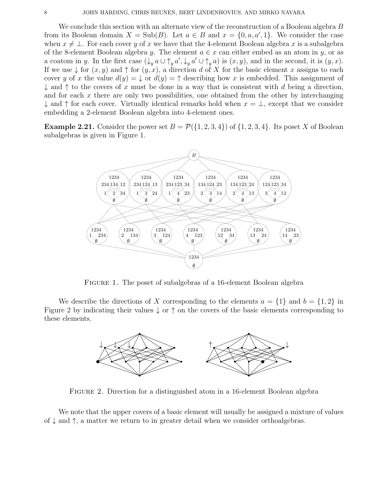We conclude this section with an alternate view of the reconstruction of a Boolean algebra B from its Boolean domain  $X = Sub(B)$ . Let  $a \in B$  and  $x = \{0, a, a', 1\}$ . We consider the case when  $x \neq \bot$ . For each cover y of x we have that the 4-element Boolean algebra x is a subalgebra of the 8-element Boolean algebra y. The element  $a \in x$  can either embed as an atom in y, or as a coatom in y. In the first case  $(\downarrow_y a \cup \uparrow_y a', \downarrow_y a' \cup \uparrow_y a)$  is  $(x, y)$ , and in the second, it is  $(y, x)$ . If we use  $\downarrow$  for  $(x, y)$  and  $\uparrow$  for  $(y, x)$ , a direction d of X for the basic element x assigns to each cover y of x the value  $d(y) = \downarrow$  or  $d(y) = \uparrow$  describing how x is embedded. This assignment of  $\downarrow$  and  $\uparrow$  to the covers of x must be done in a way that is consistent with d being a direction, and for each x there are only two possibilities, one obtained from the other by interchanging  $\downarrow$  and  $\uparrow$  for each cover. Virtually identical remarks hold when  $x = \perp$ , except that we consider embedding a 2-element Boolean algebra into 4-element ones.

**Example 2.21.** Consider the power set  $B = \mathcal{P}(\{1, 2, 3, 4\})$  of  $\{1, 2, 3, 4\}$ . Its poset X of Boolean subalgebras is given in Figure 1.



Figure 1. The poset of subalgebras of a 16-element Boolean algebra

We describe the directions of X corresponding to the elements  $a = \{1\}$  and  $b = \{1, 2\}$  in Figure 2 by indicating their values  $\downarrow$  or  $\uparrow$  on the covers of the basic elements corresponding to these elements.



Figure 2. Direction for a distinguished atom in a 16-element Boolean algebra

We note that the upper covers of a basic element will usually be assigned a mixture of values of  $\downarrow$  and  $\uparrow$ , a matter we return to in greater detail when we consider orthoalgebras.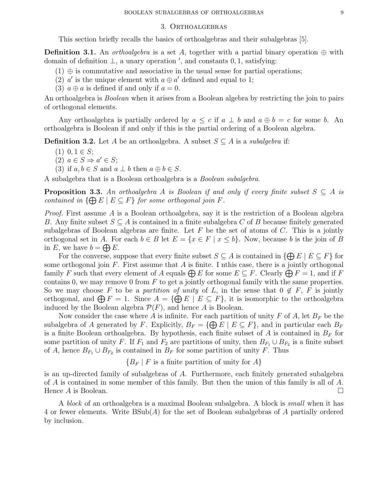### 3. Orthoalgebras

This section briefly recalls the basics of orthoalgebras and their subalgebras [5].

**Definition 3.1.** An *orthoalgebra* is a set A, together with a partial binary operation  $\oplus$  with domain of definition  $\perp$ , a unary operation ', and constants 0, 1, satisfying:

- $(1) \oplus$  is commutative and associative in the usual sense for partial operations;
- (2)  $a'$  is the unique element with  $a \oplus a'$  defined and equal to 1;
- (3)  $a \oplus a$  is defined if and only if  $a = 0$ .

An orthoalgebra is *Boolean* when it arises from a Boolean algebra by restricting the join to pairs of orthogonal elements.

Any orthoalgebra is partially ordered by  $a \leq c$  if  $a \perp b$  and  $a \oplus b = c$  for some b. An orthoalgebra is Boolean if and only if this is the partial ordering of a Boolean algebra.

**Definition 3.2.** Let A be an orthoalgebra. A subset  $S \subseteq A$  is a *subalgebra* if:

- $(1)$  0, 1  $\in$  S;
- (2)  $a \in S \Rightarrow a' \in S;$
- (3) if  $a, b \in S$  and  $a \perp b$  then  $a \oplus b \in S$ .

A subalgebra that is a Boolean orthoalgebra is a Boolean subalgebra.

**Proposition 3.3.** An orthoalgebra A is Boolean if and only if every finite subset  $S \subseteq A$  is contained in  $\{\bigoplus E \mid E \subseteq F\}$  for some orthogonal join F.

*Proof.* First assume A is a Boolean orthoalgebra, say it is the restriction of a Boolean algebra B. Any finite subset  $S \subseteq A$  is contained in a finite subalgebra C of B because finitely generated subalgebras of Boolean algebras are finite. Let  $F$  be the set of atoms of  $C$ . This is a jointly orthogonal set in A. For each  $b \in B$  let  $E = \{x \in F \mid x \leq b\}$ . Now, because b is the join of B in E, we have  $b = \bigoplus E$ .

For the converse, suppose that every finite subset  $S \subseteq A$  is contained in  $\{\bigoplus E \mid E \subseteq F\}$  for some orthogonal join  $F$ . First assume that  $A$  is finite. I nthis case, there is a jointly orthogonal family F such that every element of A equals  $\bigoplus E$  for some  $E \subseteq F$ . Clearly  $\bigoplus F = 1$ , and if F contains 0, we may remove 0 from  $F$  to get a jointly orthogonal family with the same properties. So we may choose F to be a partition of unity of L, in the sense that  $0 \notin F$ , F is jointly orthogonal, and  $\bigoplus F = 1$ . Since  $A = {\bigoplus E \mid E \subseteq F}$ , it is isomorphic to the orthoalgebra induced by the Boolean algebra  $\mathcal{P}(F)$ , and hence A is Boolean.

Now consider the case where A is infinite. For each partition of unity F of A, let  $B_F$  be the subalgebra of A generated by F. Explicitly,  $B_F = \{ \bigoplus E \mid E \subseteq F \}$ , and in particular each  $B_F$ is a finite Boolean orthoalgebra. By hypothesis, each finite subset of A is contained in  $B_F$  for some partition of unity F. If  $F_1$  and  $F_2$  are partitions of unity, then  $B_{F_1} \cup B_{F_2}$  is a finite subset of A, hence  $B_{F_1} \cup B_{F_2}$  is contained in  $B_F$  for some partition of unity F. Thus

 ${B_F | F$  is a finite partition of unity for A

is an up-directed family of subalgebras of A. Furthermore, each finitely generated subalgebra of  $A$  is contained in some member of this family. But then the union of this family is all of  $A$ . Hence  $A$  is Boolean.

A block of an orthoalgebra is a maximal Boolean subalgebra. A block is small when it has 4 or fewer elements. Write BSub(A) for the set of Boolean subalgebras of A partially ordered by inclusion.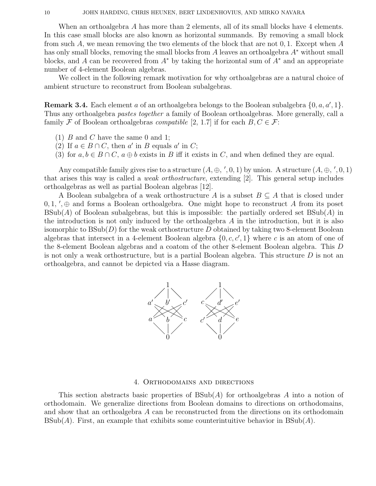When an orthoalgebra A has more than 2 elements, all of its small blocks have 4 elements. In this case small blocks are also known as horizontal summands. By removing a small block from such A, we mean removing the two elements of the block that are not  $0, 1$ . Except when A has only small blocks, removing the small blocks from A leaves an orthoalgebra  $A^*$  without small blocks, and A can be recovered from  $A^*$  by taking the horizontal sum of  $A^*$  and an appropriate number of 4-element Boolean algebras.

We collect in the following remark motivation for why orthoalgebras are a natural choice of ambient structure to reconstruct from Boolean subalgebras.

**Remark 3.4.** Each element a of an orthoalgebra belongs to the Boolean subalgebra  $\{0, a, a', 1\}$ . Thus any orthoalgebra pastes together a family of Boolean orthoalgebras. More generally, call a family F of Boolean orthoalgebras *compatible* [2, 1.7] if for each  $B, C \in \mathcal{F}$ :

- (1)  $B$  and  $C$  have the same 0 and 1;
- (2) If  $a \in B \cap C$ , then a' in B equals a' in C;
- (3) for  $a, b \in B \cap C$ ,  $a \oplus b$  exists in B iff it exists in C, and when defined they are equal.

Any compatible family gives rise to a structure  $(A, \oplus, ', 0, 1)$  by union. A structure  $(A, \oplus, ', 0, 1)$ that arises this way is called a weak orthostructure, extending [2]. This general setup includes orthoalgebras as well as partial Boolean algebras [12].

A Boolean subalgebra of a weak orthostructure A is a subset  $B \subseteq A$  that is closed under  $0, 1, ', \oplus$  and forms a Boolean orthoalgebra. One might hope to reconstruct A from its poset  $BSub(A)$  of Boolean subalgebras, but this is impossible: the partially ordered set  $BSub(A)$  in the introduction is not only induced by the orthoalgebra  $A$  in the introduction, but it is also isomorphic to  $BSub(D)$  for the weak orthostructure D obtained by taking two 8-element Boolean algebras that intersect in a 4-element Boolean algebra  $\{0, c, c', 1\}$  where c is an atom of one of the 8-element Boolean algebras and a coatom of the other 8-element Boolean algebra. This D is not only a weak orthostructure, but is a partial Boolean algebra. This structure  $D$  is not an orthoalgebra, and cannot be depicted via a Hasse diagram.



### 4. Orthodomains and directions

This section abstracts basic properties of  $B\text{Sub}(A)$  for orthoalgebras A into a notion of orthodomain. We generalize directions from Boolean domains to directions on orthodomains, and show that an orthoalgebra A can be reconstructed from the directions on its orthodomain  $BSub(A)$ . First, an example that exhibits some counterintuitive behavior in  $BSub(A)$ .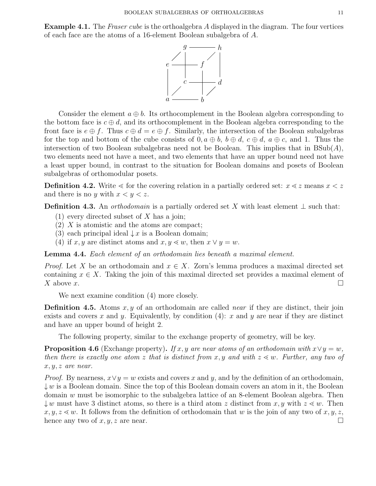**Example 4.1.** The *Fraser cube* is the orthoalgebra A displayed in the diagram. The four vertices of each face are the atoms of a 16-element Boolean subalgebra of A.



Consider the element  $a \oplus b$ . Its orthocomplement in the Boolean algebra corresponding to the bottom face is  $c \oplus d$ , and its orthocomplement in the Boolean algebra corresponding to the front face is  $e \oplus f$ . Thus  $c \oplus d = e \oplus f$ . Similarly, the intersection of the Boolean subalgebras for the top and bottom of the cube consists of  $0, a \oplus b, b \oplus d, c \oplus d, a \oplus c$ , and 1. Thus the intersection of two Boolean subalgebras need not be Boolean. This implies that in  $BSub(A)$ , two elements need not have a meet, and two elements that have an upper bound need not have a least upper bound, in contrast to the situation for Boolean domains and posets of Boolean subalgebras of orthomodular posets.

**Definition 4.2.** Write  $\leq$  for the covering relation in a partially ordered set:  $x \leq z$  means  $x \leq z$ and there is no y with  $x < y < z$ .

**Definition 4.3.** An *orthodomain* is a partially ordered set X with least element  $\perp$  such that:

- (1) every directed subset of X has a join;
- (2) X is atomistic and the atoms are compact;
- (3) each principal ideal  $\downarrow x$  is a Boolean domain;
- (4) if x, y are distinct atoms and  $x, y \leq w$ , then  $x \vee y = w$ .

Lemma 4.4. Each element of an orthodomain lies beneath a maximal element.

*Proof.* Let X be an orthodomain and  $x \in X$ . Zorn's lemma produces a maximal directed set containing  $x \in X$ . Taking the join of this maximal directed set provides a maximal element of X above  $\overline{x}$ .

We next examine condition (4) more closely.

**Definition 4.5.** Atoms  $x, y$  of an orthodomain are called *near* if they are distinct, their join exists and covers x and y. Equivalently, by condition  $(4)$ : x and y are near if they are distinct and have an upper bound of height 2.

The following property, similar to the exchange property of geometry, will be key.

**Proposition 4.6** (Exchange property). If x, y are near atoms of an orthodomain with  $x \vee y = w$ , then there is exactly one atom z that is distinct from x, y and with  $z \leq w$ . Further, any two of  $x, y, z$  are near.

*Proof.* By nearness,  $x \vee y = w$  exists and covers x and y, and by the definition of an orthodomain,  $\downarrow w$  is a Boolean domain. Since the top of this Boolean domain covers an atom in it, the Boolean domain w must be isomorphic to the subalgebra lattice of an 8-element Boolean algebra. Then  $\downarrow w$  must have 3 distinct atoms, so there is a third atom z distinct from x, y with  $z \leq w$ . Then  $x, y, z \leq w$ . It follows from the definition of orthodomain that w is the join of any two of  $x, y, z$ , hence any two of  $x, y, z$  are near.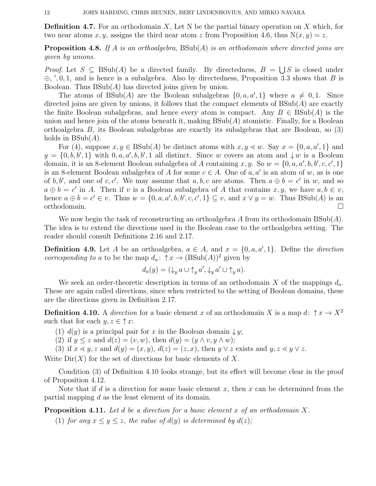**Definition 4.7.** For an orthodomain X, Let N be the partial binary operation on X which, for two near atoms x, y, assigns the third near atom z from Proposition 4.6, thus  $N(x, y) = z$ .

**Proposition 4.8.** If A is an orthoalgebra,  $BSub(A)$  is an orthodomain where directed joins are given by unions.

*Proof.* Let  $S \subseteq BSub(A)$  be a directed family. By directedness,  $B = \bigcup S$  is closed under  $\oplus$ , ', 0, 1, and is hence is a subalgebra. Also by directedness, Proposition 3.3 shows that B is Boolean. Thus  $BSub(A)$  has directed joins given by union.

The atoms of  $BSub(A)$  are the Boolean subalgebras  $\{0, a, a', 1\}$  where  $a \neq 0, 1$ . Since directed joins are given by unions, it follows that the compact elements of  $BSub(A)$  are exactly the finite Boolean subalgebras, and hence every atom is compact. Any  $B \in \text{BSub}(A)$  is the union and hence join of the atoms beneath it, making  $BSub(A)$  atomistic. Finally, for a Boolean orthoalgebra B, its Boolean subalgebras are exactly its subalgebras that are Boolean, so (3) holds in  $BSub(A)$ .

For (4), suppose  $x, y \in \text{BSub}(A)$  be distinct atoms with  $x, y \leq w$ . Say  $x = \{0, a, a', 1\}$  and  $y = \{0, b, b', 1\}$  with  $0, a, a', b, b', 1$  all distinct. Since w covers an atom and  $\downarrow w$  is a Boolean domain, it is an 8-element Boolean subalgebra of A containing x, y. So  $w = \{0, a, a', b, b', c, c', 1\}$ is an 8-element Boolean subalgebra of A for some  $c \in A$ . One of  $a, a'$  is an atom of w, as is one of b, b', and one of c, c'. We may assume that a, b, c are atoms. Then  $a \oplus b = c'$  in w, and so  $a \oplus b = c'$  in A. Then if v is a Boolean subalgebra of A that contains  $x, y$ , we have  $a, b \in v$ , hence  $a \oplus b = c' \in v$ . Thus  $w = \{0, a, a', b, b', c, c', 1\} \subseteq v$ , and  $x \vee y = w$ . Thus BSub(A) is an orthodomain.

We now begin the task of reconstructing an orthoalgebra A from its orthodomain  $BSub(A)$ . The idea is to extend the directions used in the Boolean case to the orthoalgebra setting. The reader should consult Definitions 2.16 and 2.17.

**Definition 4.9.** Let A be an orthoalgebra,  $a \in A$ , and  $x = \{0, a, a', 1\}$ . Define the *direction corresponding to a* to be the map  $d_a: \uparrow x \rightarrow (BSub(A))^2$  given by

$$
d_a(y) = (\downarrow_y a \cup \uparrow_y a', \downarrow_y a' \cup \uparrow_y a).
$$

We seek an order-theoretic description in terms of an orthodomain X of the mappings  $d_a$ . These are again called directions, since when restricted to the setting of Boolean domains, these are the directions given in Definition 2.17.

**Definition 4.10.** A direction for a basic element x of an orthodomain X is a map d:  $\uparrow x \to X^2$ such that for each  $y, z \in \uparrow x$ :

- (1)  $d(y)$  is a principal pair for x in the Boolean domain  $\downarrow y$ ;
- (2) if  $y \leq z$  and  $d(z) = (v, w)$ , then  $d(y) = (y \wedge v, y \wedge w)$ ;
- (3) if  $x \leq y, z$  and  $d(y) = (x, y), d(z) = (z, x)$ , then  $y \vee z$  exists and  $y, z \leq y \vee z$ .

Write  $\mathrm{Dir}(X)$  for the set of directions for basic elements of X.

Condition (3) of Definition 4.10 looks strange, but its effect will become clear in the proof of Proposition 4.12.

Note that if d is a direction for some basic element x, then x can be determined from the partial mapping d as the least element of its domain.

**Proposition 4.11.** Let d be a direction for a basic element x of an orthodomain X.

(1) for any  $x \le y \le z$ , the value of  $d(y)$  is determined by  $d(z)$ ;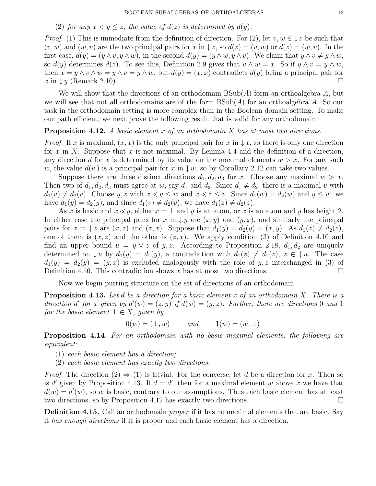## (2) for any  $x < y \leq z$ , the value of  $d(z)$  is determined by  $d(y)$ .

*Proof.* (1) This is immediate from the definition of direction. For (2), let  $v, w \in \downarrow z$  be such that  $(v, w)$  and  $(w, v)$  are the two principal pairs for x in  $\downarrow z$ , so  $d(z) = (v, w)$  or  $d(z) = (w, v)$ . In the first case,  $d(y) = (y \wedge v, y \wedge w)$ , in the second  $d(y) = (y \wedge w, y \wedge v)$ . We claim that  $y \wedge v \neq y \wedge w$ , so  $d(y)$  determines  $d(z)$ . To see this, Definition 2.9 gives that  $v \wedge w = x$ . So if  $y \wedge v = y \wedge w$ , then  $x = y \wedge v \wedge w = y \wedge v = y \wedge w$ , but  $d(y) = (x, x)$  contradicts  $d(y)$  being a principal pair for  $x \in \mathcal{Y}$  (Remark 2.10).

We will show that the directions of an orthodomain  $BSub(A)$  form an orthoalgebra A, but we will see that not all orthodomains are of the form  $BSub(A)$  for an orthoalgebra A. So our task in the orthodomain setting is more complex than in the Boolean domain setting. To make our path efficient, we next prove the following result that is valid for any orthodomain.

## **Proposition 4.12.** A basic element x of an orthodomain X has at most two directions.

*Proof.* If x is maximal,  $(x, x)$  is the only principal pair for x in  $\downarrow x$ , so there is only one direction for x in X. Suppose that x is not maximal. By Lemma 4.4 and the definition of a direction, any direction d for x is determined by its value on the maximal elements  $w > x$ . For any such w, the value  $d(w)$  is a principal pair for x in  $\downarrow w$ , so by Corollary 2.12 can take two values.

Suppose there are three distinct directions  $d_1, d_2, d_3$  for x. Choose any maximal  $w > x$ . Then two of  $d_1, d_2, d_3$  must agree at w, say  $d_1$  and  $d_2$ . Since  $d_1 \neq d_2$ , there is a maximal v with  $d_1(v) \neq d_2(v)$ . Choose y, z with  $x \leq y \leq w$  and  $x \leq z \leq v$ . Since  $d_1(w) = d_2(w)$  and  $y \leq w$ , we have  $d_1(y) = d_2(y)$ , and since  $d_1(v) \neq d_2(v)$ , we have  $d_1(z) \neq d_2(z)$ .

As x is basic and  $x \leq y$ , either  $x = \perp$  and y is an atom, or x is an atom and y has height 2. In either case the principal pairs for x in  $\downarrow y$  are  $(x, y)$  and  $(y, x)$ , and similarly the principal pairs for x in  $\downarrow$  z are  $(x, z)$  and  $(z, x)$ . Suppose that  $d_1(y) = d_2(y) = (x, y)$ . As  $d_1(z) \neq d_2(z)$ , one of them is  $(x, z)$  and the other is  $(z, x)$ . We apply condition (3) of Definition 4.10 and find an upper bound  $u = y \vee z$  of y, z. According to Proposition 2.18,  $d_1, d_2$  are uniquely determined on  $\downarrow u$  by  $d_1(y) = d_2(y)$ , a contradiction with  $d_1(z) \neq d_2(z)$ ,  $z \in \downarrow u$ . The case  $d_1(y) = d_2(y) = (y, x)$  is excluded analogously with the role of y, z interchanged in (3) of Definition 4.10. This contradiction shows x has at most two directions.

Now we begin putting structure on the set of directions of an orthodomain.

**Proposition 4.13.** Let d be a direction for a basic element x of an orthodomain X. There is a direction d' for x given by  $d'(w) = (z, y)$  if  $d(w) = (y, z)$ . Further, there are directions 0 and 1 for the basic element  $\bot \in X$ , given by

$$
0(w) = (\perp, w) \qquad \text{and} \qquad 1(w) = (w, \perp).
$$

Proposition 4.14. For an orthodomain with no basic maximal elements, the following are equivalent:

- (1) each basic element has a direction;
- (2) each basic element has exactly two directions.

*Proof.* The direction  $(2) \Rightarrow (1)$  is trivial. For the converse, let d be a direction for x. Then so is d' given by Proposition 4.13. If  $d = d'$ , then for a maximal element w above x we have that  $d(w) = d'(w)$ , so w is basic, contrary to our assumptions. Thus each basic element has at least two directions, so by Proposition 4.12 has exactly two directions.

Definition 4.15. Call an orthodomain *proper* if it has no maximal elements that are basic. Say it has enough directions if it is proper and each basic element has a direction.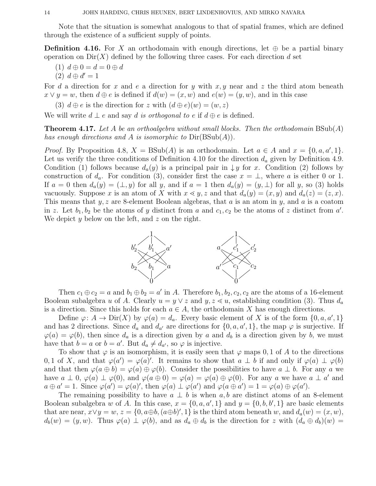Note that the situation is somewhat analogous to that of spatial frames, which are defined through the existence of a sufficient supply of points.

**Definition 4.16.** For X an orthodomain with enough directions, let  $\oplus$  be a partial binary operation on  $Dir(X)$  defined by the following three cases. For each direction d set

(1)  $d \oplus 0 = d = 0 \oplus d$ 

(2)  $d \oplus d' = 1$ 

For d a direction for x and e a direction for y with  $x, y$  near and z the third atom beneath  $x \vee y = w$ , then  $d \oplus e$  is defined if  $d(w) = (x, w)$  and  $e(w) = (y, w)$ , and in this case

(3)  $d \oplus e$  is the direction for z with  $(d \oplus e)(w) = (w, z)$ 

We will write  $d \perp e$  and say d is orthogonal to e if  $d \oplus e$  is defined.

**Theorem 4.17.** Let A be an orthoalgebra without small blocks. Then the orthodomain  $BSub(A)$ has enough directions and A is isomorphic to  $Dir(BSub(A)).$ 

*Proof.* By Proposition 4.8,  $X = \text{BSub}(A)$  is an orthodomain. Let  $a \in A$  and  $x = \{0, a, a', 1\}$ . Let us verify the three conditions of Definition 4.10 for the direction  $d_a$  given by Definition 4.9. Condition (1) follows because  $d_a(y)$  is a principal pair in  $\downarrow y$  for x. Condition (2) follows by construction of  $d_a$ . For condition (3), consider first the case  $x = \perp$ , where a is either 0 or 1. If  $a = 0$  then  $d_a(y) = (\perp, y)$  for all y, and if  $a = 1$  then  $d_a(y) = (y, \perp)$  for all y, so (3) holds vacuously. Suppose x is an atom of X with  $x \le y$ , z and that  $d_a(y) = (x, y)$  and  $d_a(z) = (z, x)$ . This means that  $y, z$  are 8-element Boolean algebras, that  $a$  is an atom in  $y$ , and  $a$  is a coatom in z. Let  $b_1, b_2$  be the atoms of y distinct from a and  $c_1, c_2$  be the atoms of z distinct from a'. We depict  $y$  below on the left, and  $z$  on the right.



Then  $c_1 \oplus c_2 = a$  and  $b_1 \oplus b_2 = a'$  in A. Therefore  $b_1, b_2, c_2, c_2$  are the atoms of a 16-element Boolean subalgebra u of A. Clearly  $u = y \vee z$  and  $y, z \leq u$ , establishing condition (3). Thus  $d_a$ is a direction. Since this holds for each  $a \in A$ , the orthodomain X has enough directions.

Define  $\varphi: A \to \text{Dir}(X)$  by  $\varphi(a) = d_a$ . Every basic element of X is of the form  $\{0, a, a', 1\}$ and has 2 directions. Since  $d_a$  and  $d_{a'}$  are directions for  $\{0, a, a', 1\}$ , the map  $\varphi$  is surjective. If  $\varphi(a) = \varphi(b)$ , then since  $d_a$  is a direction given by a and  $d_b$  is a direction given by b, we must have that  $b = a$  or  $b = a'$ . But  $d_a \neq d_{a'}$ , so  $\varphi$  is injective.

To show that  $\varphi$  is an isomorphism, it is easily seen that  $\varphi$  maps 0, 1 of A to the directions 0, 1 of X, and that  $\varphi(a') = \varphi(a)'$ . It remains to show that  $a \perp b$  if and only if  $\varphi(a) \perp \varphi(b)$ and that then  $\varphi(a \oplus b) = \varphi(a) \oplus \varphi(b)$ . Consider the possibilities to have  $a \perp b$ . For any a we have  $a \perp 0$ ,  $\varphi(a) \perp \varphi(0)$ , and  $\varphi(a \oplus 0) = \varphi(a) = \varphi(a) \oplus \varphi(0)$ . For any a we have  $a \perp a'$  and  $a \oplus a' = 1$ . Since  $\varphi(a') = \varphi(a)'$ , then  $\varphi(a) \perp \varphi(a')$  and  $\varphi(a \oplus a') = 1 = \varphi(a) \oplus \varphi(a')$ .

The remaining possibility to have  $a \perp b$  is when a, b are distinct atoms of an 8-element Boolean subalgebra w of A. In this case,  $x = \{0, a, a', 1\}$  and  $y = \{0, b, b', 1\}$  are basic elements that are near,  $x \vee y = w$ ,  $z = \{0, a \oplus b, (a \oplus b)'$ , 1} is the third atom beneath w, and  $d_a(w) = (x, w)$ ,  $d_b(w) = (y, w)$ . Thus  $\varphi(a) \perp \varphi(b)$ , and as  $d_a \oplus d_b$  is the direction for z with  $(d_a \oplus d_b)(w) =$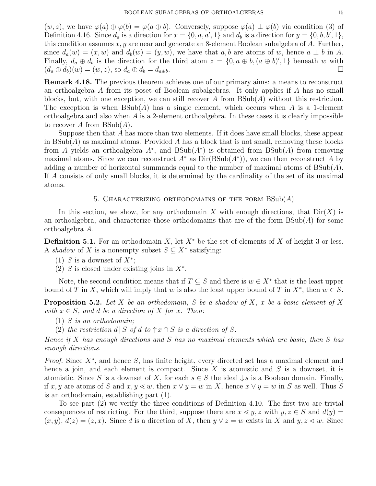$(w, z)$ , we have  $\varphi(a) \oplus \varphi(b) = \varphi(a \oplus b)$ . Conversely, suppose  $\varphi(a) \perp \varphi(b)$  via condition (3) of Definition 4.16. Since  $d_a$  is a direction for  $x = \{0, a, a', 1\}$  and  $d_b$  is a direction for  $y = \{0, b, b', 1\}$ , this condition assumes  $x, y$  are near and generate an 8-element Boolean subalgebra of  $A$ . Further, since  $d_a(w) = (x, w)$  and  $d_b(w) = (y, w)$ , we have that a, b are atoms of w, hence  $a \perp b$  in A. Finally,  $d_a \oplus d_b$  is the direction for the third atom  $z = \{0, a \oplus b, (a \oplus b)', 1\}$  beneath w with  $(d_a \oplus d_b)(w) = (w, z)$ , so  $d_a \oplus d_b = d_{a \oplus b}$ .

Remark 4.18. The previous theorem achieves one of our primary aims: a means to reconstruct an orthoalgebra A from its poset of Boolean subalgebras. It only applies if A has no small blocks, but, with one exception, we can still recover A from  $B\text{Sub}(A)$  without this restriction. The exception is when  $BSub(A)$  has a single element, which occurs when A is a 1-element orthoalgebra and also when  $A$  is a 2-element orthoalgebra. In these cases it is clearly impossible to recover A from  $BSub(A)$ .

Suppose then that A has more than two elements. If it does have small blocks, these appear in  $BSub(A)$  as maximal atoms. Provided A has a block that is not small, removing these blocks from A yields an orthoalgebra  $A^*$ , and  $BSub(A^*)$  is obtained from  $BSub(A)$  from removing maximal atoms. Since we can reconstruct  $A^*$  as  $Dir(BSub(A^*))$ , we can then reconstruct A by adding a number of horizontal summands equal to the number of maximal atoms of  $BSub(A)$ . If A consists of only small blocks, it is determined by the cardinality of the set of its maximal atoms.

### 5. CHARACTERIZING ORTHODOMAINS OF THE FORM  $BSub(A)$

In this section, we show, for any orthodomain X with enough directions, that  $\text{Dir}(X)$  is an orthoalgebra, and characterize those orthodomains that are of the form  $BSub(A)$  for some orthoalgebra A.

**Definition 5.1.** For an orthodomain X, let  $X^*$  be the set of elements of X of height 3 or less. A shadow of X is a nonempty subset  $S \subseteq X^*$  satisfying:

- (1) S is a downset of  $X^*$ ;
- (2) S is closed under existing joins in  $X^*$ .

Note, the second condition means that if  $T \subseteq S$  and there is  $w \in X^*$  that is the least upper bound of T in X, which will imply that w is also the least upper bound of T in  $X^*$ , then  $w \in S$ .

**Proposition 5.2.** Let X be an orthodomain, S be a shadow of X, x be a basic element of X with  $x \in S$ , and d be a direction of X for x. Then:

- $(1)$  *S* is an orthodomain;
- (2) the restriction  $d | S$  of  $d$  to  $\uparrow x \cap S$  is a direction of S.

Hence if X has enough directions and S has no maximal elements which are basic, then S has enough directions.

Proof. Since X<sup>\*</sup>, and hence S, has finite height, every directed set has a maximal element and hence a join, and each element is compact. Since  $X$  is atomistic and  $S$  is a downset, it is atomistic. Since S is a downset of X, for each  $s \in S$  the ideal  $\downarrow s$  is a Boolean domain. Finally, if x, y are atoms of S and  $x, y \leq w$ , then  $x \vee y = w$  in X, hence  $x \vee y = w$  in S as well. Thus S is an orthodomain, establishing part (1).

To see part (2) we verify the three conditions of Definition 4.10. The first two are trivial consequences of restricting. For the third, suppose there are  $x \leq y$ , z with  $y, z \in S$  and  $d(y) =$  $(x, y), d(z) = (z, x)$ . Since d is a direction of X, then  $y \vee z = w$  exists in X and  $y, z \leq w$ . Since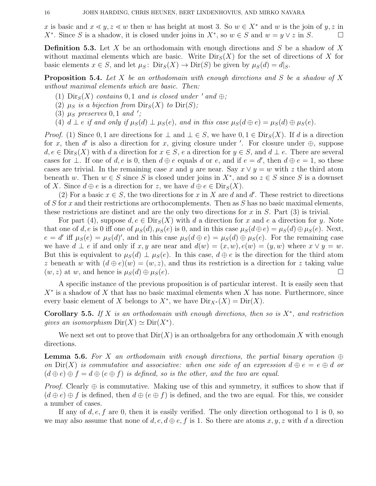x is basic and  $x \leq y, z \leq w$  then w has height at most 3. So  $w \in X^*$  and w is the join of y, z in X<sup>∗</sup>. Since S is a shadow, it is closed under joins in  $X^*$ , so  $w \in S$  and  $w = y \vee z$  in S.  $\Box$ 

**Definition 5.3.** Let X be an orthodomain with enough directions and S be a shadow of X without maximal elements which are basic. Write  $\text{Dir}_S(X)$  for the set of directions of X for basic elements  $x \in S$ , and let  $\mu_S : \text{Dir}_S(X) \to \text{Dir}(S)$  be given by  $\mu_S(d) = d|_S$ .

**Proposition 5.4.** Let X be an orthodomain with enough directions and S be a shadow of X without maximal elements which are basic. Then:

- (1)  $\text{Dir}_S(X)$  contains 0, 1 and is closed under ' and  $\oplus$ ;
- (2)  $\mu_S$  is a bijection from  $\text{Dir}_S(X)$  to  $\text{Dir}(S)$ ;
- (3)  $\mu_S$  preserves 0, 1 and ';
- (4)  $d \perp e$  if and only if  $\mu_S(d) \perp \mu_S(e)$ , and in this case  $\mu_S(d \oplus e) = \mu_S(d) \oplus \mu_S(e)$ .

*Proof.* (1) Since 0, 1 are directions for  $\perp$  and  $\perp \in S$ , we have  $0, 1 \in \text{Dir}_S(X)$ . If d is a direction for x, then d' is also a direction for x, giving closure under '. For closure under  $\oplus$ , suppose  $d, e \in \text{Dir}_S(X)$  with d a direction for  $x \in S$ , e a direction for  $y \in S$ , and  $d \perp e$ . There are several cases for  $\bot$ . If one of d, e is 0, then  $d \oplus e$  equals d or e, and if  $e = d'$ , then  $d \oplus e = 1$ , so these cases are trivial. In the remaining case x and y are near. Say  $x \vee y = w$  with z the third atom beneath w. Then  $w \in S$  since S is closed under joins in  $X^*$ , and so  $z \in S$  since S is a downset of X. Since  $d \oplus e$  is a direction for z, we have  $d \oplus e \in \text{Dir}_S(X)$ .

(2) For a basic  $x \in S$ , the two directions for x in X are d and d'. These restrict to directions of S for x and their restrictions are orthocomplements. Then as S has no basic maximal elements, these restrictions are distinct and are the only two directions for x in  $S$ . Part (3) is trivial.

For part (4), suppose  $d, e \in \text{Dir}_S(X)$  with d a direction for x and e a direction for y. Note that one of d, e is 0 iff one of  $\mu_S(d)$ ,  $\mu_S(e)$  is 0, and in this case  $\mu_S(d \oplus e) = \mu_S(d) \oplus \mu_S(e)$ . Next,  $e = d'$  iff  $\mu_S(e) = \mu_S(d)'$ , and in this case  $\mu_S(d \oplus e) = \mu_S(d) \oplus \mu_S(e)$ . For the remaining case we have  $d \perp e$  if and only if x, y are near and  $d(w) = (x, w), e(w) = (y, w)$  where  $x \vee y = w$ . But this is equivalent to  $\mu_S(d) \perp \mu_S(e)$ . In this case,  $d \oplus e$  is the direction for the third atom z beneath w with  $(d \oplus e)(w) = (w, z)$ , and thus its restriction is a direction for z taking value  $(w, z)$  at w, and hence is  $\mu_S(d) \oplus \mu_S(e)$ .

A specific instance of the previous proposition is of particular interest. It is easily seen that  $X^*$  is a shadow of X that has no basic maximal elements when X has none. Furthermore, since every basic element of X belongs to  $X^*$ , we have  $\text{Dir}_{X^*}(X) = \text{Dir}(X)$ .

Corollary 5.5. If X is an orthodomain with enough directions, then so is  $X^*$ , and restriction gives an isomorphism  $\text{Dir}(X) \simeq \text{Dir}(X^*).$ 

We next set out to prove that  $Dir(X)$  is an orthoalgebra for any orthodomain X with enough directions.

**Lemma 5.6.** For X an orthodomain with enough directions, the partial binary operation  $\oplus$ on  $\text{Dir}(X)$  is commutative and associative: when one side of an expression  $d \oplus e = e \oplus d$  or  $(d \oplus e) \oplus f = d \oplus (e \oplus f)$  is defined, so is the other, and the two are equal.

*Proof.* Clearly  $\oplus$  is commutative. Making use of this and symmetry, it suffices to show that if  $(d \oplus e) \oplus f$  is defined, then  $d \oplus (e \oplus f)$  is defined, and the two are equal. For this, we consider a number of cases.

If any of  $d, e, f$  are 0, then it is easily verified. The only direction orthogonal to 1 is 0, so we may also assume that none of  $d, e, d \oplus e, f$  is 1. So there are atoms  $x, y, z$  with d a direction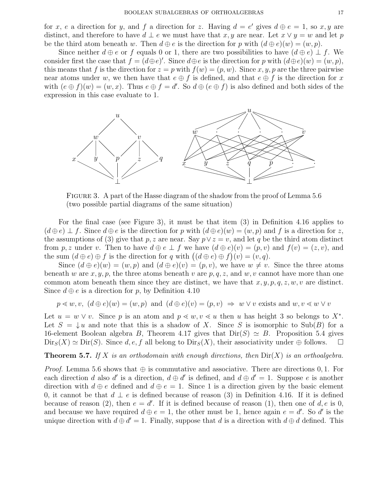for x, e a direction for y, and f a direction for z. Having  $d = e'$  gives  $d \oplus e = 1$ , so x, y are distinct, and therefore to have  $d \perp e$  we must have that x, y are near. Let  $x \vee y = w$  and let p be the third atom beneath w. Then  $d \oplus e$  is the direction for p with  $(d \oplus e)(w) = (w, p)$ .

Since neither  $d \oplus e$  or f equals 0 or 1, there are two possibilities to have  $(d \oplus e) \perp f$ . We consider first the case that  $f = (d \oplus e)'$ . Since  $d \oplus e$  is the direction for p with  $(d \oplus e)(w) = (w, p)$ , this means that f is the direction for  $z = p$  with  $f(w) = (p, w)$ . Since x, y, p are the three pairwise near atoms under w, we then have that  $e \oplus f$  is defined, and that  $e \oplus f$  is the direction for x with  $(e \oplus f)(w) = (w, x)$ . Thus  $e \oplus f = d'$ . So  $d \oplus (e \oplus f)$  is also defined and both sides of the expression in this case evaluate to 1.



Figure 3. A part of the Hasse diagram of the shadow from the proof of Lemma 5.6 (two possible partial diagrams of the same situation)

For the final case (see Figure 3), it must be that item (3) in Definition 4.16 applies to  $(d \oplus e) \perp f$ . Since  $d \oplus e$  is the direction for p with  $(d \oplus e)(w) = (w, p)$  and f is a direction for z, the assumptions of (3) give that p, z are near. Say  $p \vee z = v$ , and let q be the third atom distinct from p, z under v. Then to have  $d \oplus e \perp f$  we have  $(d \oplus e)(v) = (p, v)$  and  $f(v) = (z, v)$ , and the sum  $(d \oplus e) \oplus f$  is the direction for q with  $((d \oplus e) \oplus f)(v) = (v, q)$ .

Since  $(d \oplus e)(w) = (w, p)$  and  $(d \oplus e)(v) = (p, v)$ , we have  $w \neq v$ . Since the three atoms beneath w are x, y, p, the three atoms beneath v are  $p, q, z$ , and w, v cannot have more than one common atom beneath them since they are distinct, we have that  $x, y, p, q, z, w, v$  are distinct. Since  $d \oplus e$  is a direction for p, by Definition 4.10

$$
p \leq w, v, (d \oplus e)(w) = (w, p)
$$
 and  $(d \oplus e)(v) = (p, v) \Rightarrow w \vee v$  exists and  $w, v \leq w \vee v$ 

Let  $u = w \vee v$ . Since p is an atom and  $p \ll w, v \ll u$  then u has height 3 so belongs to  $X^*$ . Let  $S = \downarrow u$  and note that this is a shadow of X. Since S is isomorphic to Sub(B) for a 16-element Boolean algebra B, Theorem 4.17 gives that  $Dir(S) \simeq B$ . Proposition 5.4 gives  $\text{Dir}_S(X) \simeq \text{Dir}(S)$ . Since d, e, f all belong to  $\text{Dir}_S(X)$ , their associativity under  $\oplus$  follows.  $\square$ 

**Theorem 5.7.** If X is an orthodomain with enough directions, then  $\text{Dir}(X)$  is an orthoalgebra.

*Proof.* Lemma 5.6 shows that  $\oplus$  is commutative and associative. There are directions 0, 1. For each direction d also d' is a direction,  $d \oplus d'$  is defined, and  $d \oplus d' = 1$ . Suppose e is another direction with  $d \oplus e$  defined and  $d \oplus e = 1$ . Since 1 is a direction given by the basic element 0, it cannot be that  $d \perp e$  is defined because of reason (3) in Definition 4.16. If it is defined because of reason (2), then  $e = d'$ . If it is defined because of reason (1), then one of  $d, e$  is 0, and because we have required  $d \oplus e = 1$ , the other must be 1, hence again  $e = d'$ . So d' is the unique direction with  $d \oplus d' = 1$ . Finally, suppose that d is a direction with  $d \oplus d$  defined. This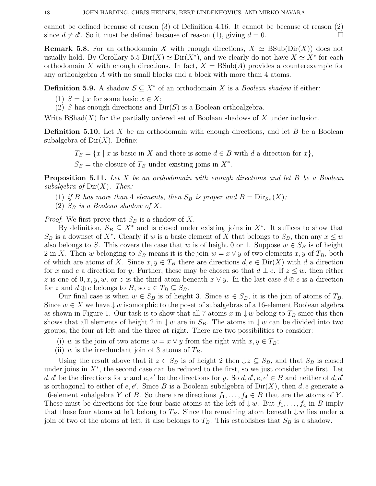cannot be defined because of reason (3) of Definition 4.16. It cannot be because of reason (2) since  $d \neq d'$ . So it must be defined because of reason (1), giving  $d = 0$ .

**Remark 5.8.** For an orthodomain X with enough directions,  $X \simeq B\text{Sub}(Dir(X))$  does not usually hold. By Corollary 5.5  $\text{Dir}(X) \simeq \text{Dir}(X^*)$ , and we clearly do not have  $X \simeq X^*$  for each orthodomain X with enough directions. In fact,  $X = BSub(A)$  provides a counterexample for any orthoalgebra A with no small blocks and a block with more than 4 atoms.

**Definition 5.9.** A shadow  $S \subseteq X^*$  of an orthodomain X is a *Boolean shadow* if either:

(1)  $S = \downarrow x$  for some basic  $x \in X$ ;

(2) S has enough directions and  $Dir(S)$  is a Boolean orthoalgebra.

Write  $BShad(X)$  for the partially ordered set of Boolean shadows of X under inclusion.

**Definition 5.10.** Let X be an orthodomain with enough directions, and let B be a Boolean subalgebra of  $Dir(X)$ . Define:

 $T_B = \{x \mid x$  is basic in X and there is some  $d \in B$  with d a direction for  $x\},$  $S_B$  = the closure of  $T_B$  under existing joins in  $X^*$ .

**Proposition 5.11.** Let X be an orthodomain with enough directions and let B be a Boolean subalgebra of  $\text{Dir}(X)$ . Then:

- (1) if B has more than 4 elements, then  $S_B$  is proper and  $B = \text{Dir}_{S_B}(X)$ ;
- (2)  $S_B$  is a Boolean shadow of X.

*Proof.* We first prove that  $S_B$  is a shadow of X.

By definition,  $S_B \subseteq X^*$  and is closed under existing joins in  $X^*$ . It suffices to show that  $S_B$  is a downset of X<sup>\*</sup>. Clearly if w is a basic element of X that belongs to  $S_B$ , then any  $x \leq w$ also belongs to S. This covers the case that w is of height 0 or 1. Suppose  $w \in S_B$  is of height 2 in X. Then w belonging to  $S_B$  means it is the join  $w = x \vee y$  of two elements x, y of  $T_B$ , both of which are atoms of X. Since  $x, y \in T_B$  there are directions  $d, e \in \text{Dir}(X)$  with d a direction for x and e a direction for y. Further, these may be chosen so that  $d \perp e$ . If  $z \leq w$ , then either z is one of  $0, x, y, w$ , or z is the third atom beneath  $x \vee y$ . In the last case  $d \oplus e$  is a direction for z and  $d \oplus e$  belongs to B, so  $z \in T_B \subseteq S_B$ .

Our final case is when  $w \in S_B$  is of height 3. Since  $w \in S_B$ , it is the join of atoms of  $T_B$ . Since  $w \in X$  we have  $\downarrow w$  isomorphic to the poset of subalgebras of a 16-element Boolean algebra as shown in Figure 1. Our task is to show that all 7 atoms x in  $\downarrow w$  belong to  $T_B$  since this then shows that all elements of height 2 in  $\downarrow w$  are in  $S_B$ . The atoms in  $\downarrow w$  can be divided into two groups, the four at left and the three at right. There are two possibilities to consider:

- (i) w is the join of two atoms  $w = x \vee y$  from the right with  $x, y \in T_B$ ;
- (ii) w is the irredundant join of 3 atoms of  $T_B$ .

Using the result above that if  $z \in S_B$  is of height 2 then  $\downarrow z \subseteq S_B$ , and that  $S_B$  is closed under joins in  $X^*$ , the second case can be reduced to the first, so we just consider the first. Let d, d' be the directions for x and e, e' be the directions for y. So d, d', e, e'  $\in B$  and neither of d, d' is orthogonal to either of  $e, e'$ . Since B is a Boolean subalgebra of  $Dir(X)$ , then  $d, e$  generate a 16-element subalgebra Y of B. So there are directions  $f_1, \ldots, f_4 \in B$  that are the atoms of Y. These must be directions for the four basic atoms at the left of  $\downarrow w$ . But  $f_1, \ldots, f_4$  in B imply that these four atoms at left belong to  $T_B$ . Since the remaining atom beneath  $\downarrow w$  lies under a join of two of the atoms at left, it also belongs to  $T_B$ . This establishes that  $S_B$  is a shadow.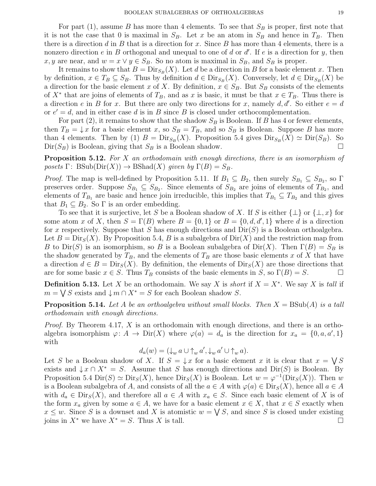For part (1), assume B has more than 4 elements. To see that  $S_B$  is proper, first note that it is not the case that 0 is maximal in  $S_B$ . Let x be an atom in  $S_B$  and hence in  $T_B$ . Then there is a direction d in B that is a direction for x. Since B has more than 4 elements, there is a nonzero direction  $e$  in  $B$  orthogonal and unequal to one of  $d$  or  $d'$ . If  $e$  is a direction for  $y$ , then x, y are near, and  $w = x \vee y \in S_B$ . So no atom is maximal in  $S_B$ , and  $S_B$  is proper.

It remains to show that  $B = \text{Dir}_{S_B}(X)$ . Let d be a direction in B for a basic element x. Then by definition,  $x \in T_B \subseteq S_B$ . Thus by definition  $d \in \text{Dir}_{S_B}(X)$ . Conversely, let  $d \in \text{Dir}_{S_B}(X)$  be a direction for the basic element x of X. By definition,  $x \in S_B$ . But  $S_B$  consists of the elements of  $X^*$  that are joins of elements of  $T_B$ , and as x is basic, it must be that  $x \in T_B$ . Thus there is a direction e in B for x. But there are only two directions for x, namely  $d, d'$ . So either  $e = d$ or  $e' = d$ , and in either case d is in B since B is closed under orthocomplementation.

For part (2), it remains to show that the shadow  $S_B$  is Boolean. If B has 4 or fewer elements, then  $T_B = \downarrow x$  for a basic element x, so  $S_B = T_B$ , and so  $S_B$  is Boolean. Suppose B has more than 4 elements. Then by (1)  $B = \text{Dir}_{S_B}(X)$ . Proposition 5.4 gives  $\text{Dir}_{S_B}(X) \simeq \text{Dir}(S_B)$ . So  $Dir(S_B)$  is Boolean, giving that  $S_B$  is a Boolean shadow.

**Proposition 5.12.** For X an orthodomain with enough directions, there is an isomorphism of posets  $\Gamma: \text{BSub}(\text{Dir}(X)) \to \text{BShad}(X)$  given by  $\Gamma(B) = S_B$ .

*Proof.* The map is well-defined by Proposition 5.11. If  $B_1 \subseteq B_2$ , then surely  $S_{B_1} \subseteq S_{B_2}$ , so  $\Gamma$ preserves order. Suppose  $S_{B_1} \subseteq S_{B_2}$ . Since elements of  $S_{B_2}$  are joins of elements of  $T_{B_2}$ , and elements of  $T_{B_1}$  are basic and hence join irreducible, this implies that  $T_{B_1} \subseteq T_{B_2}$  and this gives that  $B_1 \subseteq B_2$ . So  $\Gamma$  is an order embedding.

To see that it is surjective, let S be a Boolean shadow of X. If S is either  $\{\perp\}$  or  $\{\perp, x\}$  for some atom x of X, then  $S = \Gamma(B)$  where  $B = \{0, 1\}$  or  $B = \{0, d, d', 1\}$  where d is a direction for x respectively. Suppose that S has enough directions and  $Dir(S)$  is a Boolean orthoalgebra. Let  $B = \text{Dir}_S(X)$ . By Proposition 5.4, B is a subalgebra of  $\text{Dir}(X)$  and the restriction map from B to Dir(S) is an isomorphism, so B is a Boolean subalgebra of Dir(X). Then  $\Gamma(B) = S_B$  is the shadow generated by  $T_B$ , and the elements of  $T_B$  are those basic elements x of X that have a direction  $d \in B = \text{Dir}_S(X)$ . By definition, the elements of  $\text{Dir}_S(X)$  are those directions that are for some basic  $x \in S$ . Thus  $T_B$  consists of the basic elements in S, so  $\Gamma(B) = S$ .

**Definition 5.13.** Let X be an orthodomain. We say X is *short* if  $X = X^*$ . We say X is *tall* if  $m = \bigvee S$  exists and  $\bigcup m \cap X^* = S$  for each Boolean shadow S.

**Proposition 5.14.** Let A be an orthoalgebra without small blocks. Then  $X = BSub(A)$  is a tall orthodomain with enough directions.

*Proof.* By Theorem 4.17, X is an orthodomain with enough directions, and there is an orthoalgebra isomorphism  $\varphi: A \to \text{Dir}(X)$  where  $\varphi(a) = d_a$  is the direction for  $x_a = \{0, a, a', 1\}$ with

$$
d_a(w) = (\downarrow_w a \cup \uparrow_w a', \downarrow_w a' \cup \uparrow_w a).
$$

Let S be a Boolean shadow of X. If  $S = \downarrow x$  for a basic element x it is clear that  $x = \bigvee S$ exists and  $\downarrow x \cap X^* = S$ . Assume that S has enough directions and Dir(S) is Boolean. By Proposition 5.4 Dir(S)  $\simeq \text{Dir}_S(X)$ , hence  $\text{Dir}_S(X)$  is Boolean. Let  $w = \varphi^{-1}(\text{Dir}_S(X))$ . Then w is a Boolean subalgebra of A, and consists of all the  $a \in A$  with  $\varphi(a) \in \text{Dir}_S(X)$ , hence all  $a \in A$ with  $d_a \in \text{Dir}_S(X)$ , and therefore all  $a \in A$  with  $x_a \in S$ . Since each basic element of X is of the form  $x_a$  given by some  $a \in A$ , we have for a basic element  $x \in X$ , that  $x \in S$  exactly when  $x \leq w$ . Since S is a downset and X is atomistic  $w = \bigvee S$ , and since S is closed under existing joins in  $X^*$  we have  $X^* = S$ . Thus X is tall.  $□$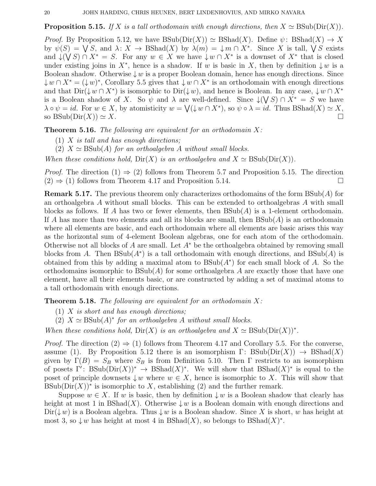## **Proposition 5.15.** If X is a tall orthodomain with enough directions, then  $X \simeq \text{BSub}(\text{Dir}(X))$ .

*Proof.* By Proposition 5.12, we have  $BSub(Dir(X)) \simeq BShad(X)$ . Define  $\psi: BShad(X) \to X$ by  $\psi(S) = \bigvee S$ , and  $\lambda: X \to \text{BShad}(X)$  by  $\lambda(m) = \bigcup m \cap X^*$ . Since X is tall,  $\bigvee S$  exists and  $\downarrow$  ( $\bigvee S$ )  $\cap$   $X^* = S$ . For any  $w \in X$  we have  $\downarrow w \cap X^*$  is a downset of  $X^*$  that is closed under existing joins in  $X^*$ , hence is a shadow. If w is basic in X, then by definition  $\downarrow w$  is a Boolean shadow. Otherwise  $\downarrow w$  is a proper Boolean domain, hence has enough directions. Since  $\downarrow w \cap X^* = (\downarrow w)^*$ , Corollary 5.5 gives that  $\downarrow w \cap X^*$  is an orthodomain with enough directions and that  $\text{Dir}(\downarrow w \cap X^*)$  is isomorphic to  $\text{Dir}(\downarrow w)$ , and hence is Boolean. In any case,  $\downarrow w \cap X^*$ is a Boolean shadow of X. So  $\psi$  and  $\lambda$  are well-defined. Since  $\downarrow$  ( $\forall S$ )  $\cap X^* = S$  we have  $\lambda \circ \psi = id$ . For  $w \in X$ , by atomisticity  $w = \bigvee (\downarrow w \cap X^*)$ , so  $\psi \circ \lambda = id$ . Thus  $BShad(X) \simeq X$ , so BSub( $\text{Dir}(X)$ )  $\simeq X$ .

**Theorem 5.16.** The following are equivalent for an orthodomain  $X$ :

- $(1)$  X is tall and has enough directions;
- (2)  $X \simeq \text{BSub}(A)$  for an orthoalgebra A without small blocks.

When these conditions hold,  $\text{Dir}(X)$  is an orthoalgebra and  $X \simeq \text{BSub}(\text{Dir}(X)).$ 

*Proof.* The direction  $(1) \Rightarrow (2)$  follows from Theorem 5.7 and Proposition 5.15. The direction  $(2) \Rightarrow (1)$  follows from Theorem 4.17 and Proposition 5.14.

**Remark 5.17.** The previous theorem only characterizes orthodomains of the form  $BSub(A)$  for an orthoalgebra A without small blocks. This can be extended to orthoalgebras A with small blocks as follows. If A has two or fewer elements, then  $BSub(A)$  is a 1-element orthodomain. If A has more than two elements and all its blocks are small, then  $BSub(A)$  is an orthodomain where all elements are basic, and each orthodomain where all elements are basic arises this way as the horizontal sum of 4-element Boolean algebras, one for each atom of the orthodomain. Otherwise not all blocks of A are small. Let  $A^*$  be the orthoalgebra obtained by removing small blocks from A. Then  $BSub(A^*)$  is a tall orthodomain with enough directions, and  $BSub(A)$  is obtained from this by adding a maximal atom to  $BSub(A^*)$  for each small block of A. So the orthodomains isomorphic to  $BSub(A)$  for some orthoalgebra A are exactly those that have one element, have all their elements basic, or are constructed by adding a set of maximal atoms to a tall orthodomain with enough directions.

**Theorem 5.18.** The following are equivalent for an orthodomain  $X$ :

- $(1)$  X is short and has enough directions;
- (2)  $X \simeq \text{BSub}(A)^*$  for an orthoalgebra A without small blocks.

When these conditions hold,  $Dir(X)$  is an orthoalgebra and  $X \simeq BSub(Dir(X))^*$ .

*Proof.* The direction  $(2) \Rightarrow (1)$  follows from Theorem 4.17 and Corollary 5.5. For the converse, assume (1). By Proposition 5.12 there is an isomorphism  $\Gamma: \text{BSub}(\text{Dir}(X)) \to \text{BShad}(X)$ given by  $\Gamma(B) = S_B$  where  $S_B$  is from Definition 5.10. Then  $\Gamma$  restricts to an isomorphism of posets  $\Gamma'$ : BSub(Dir(X))<sup>\*</sup>  $\to$  BShad(X)<sup>\*</sup>. We will show that BShad(X)<sup>\*</sup> is equal to the poset of principle downsets  $\downarrow w$  where  $w \in X$ , hence is isomorphic to X. This will show that BSub( $Dir(X)$ <sup>\*</sup> is isomorphic to X, establishing (2) and the further remark.

Suppose  $w \in X$ . If w is basic, then by definition  $\downarrow w$  is a Boolean shadow that clearly has height at most 1 in BShad(X). Otherwise  $\downarrow w$  is a Boolean domain with enough directions and  $\text{Dir}(\downarrow w)$  is a Boolean algebra. Thus  $\downarrow w$  is a Boolean shadow. Since X is short, w has height at most 3, so  $\downarrow w$  has height at most 4 in BShad(X), so belongs to BShad(X)<sup>\*</sup>.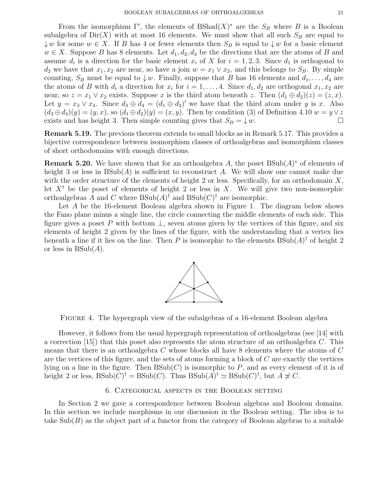From the isomorphism  $\Gamma'$ , the elements of BShad $(X)^*$  are the  $S_B$  where B is a Boolean subalgebra of  $Dir(X)$  with at most 16 elements. We must show that all such  $S_B$  are equal to  $\downarrow w$  for some  $w \in X$ . If B has 4 or fewer elements then  $S_B$  is equal to  $\downarrow w$  for a basic element  $w \in X$ . Suppose B has 8 elements. Let  $d_1, d_2, d_3$  be the directions that are the atoms of B and assume  $d_i$  is a direction for the basic element  $x_i$  of X for  $i = 1, 2, 3$ . Since  $d_1$  is orthogonal to  $d_2$  we have that  $x_1, x_2$  are near, so have a join  $w = x_1 \vee x_2$ , and this belongs to  $S_B$ . By simple counting,  $S_B$  must be equal to  $\downarrow w$ . Finally, suppose that B has 16 elements and  $d_1, \ldots, d_4$  are the atoms of B with  $d_i$  a direction for  $x_i$  for  $i = 1, ..., 4$ . Since  $d_1, d_2$  are orthogonal  $x_1, x_2$  are near, so  $z = x_1 \vee x_2$  exists. Suppose x is the third atom beneath z. Then  $(d_1 \oplus d_2)(z) = (z, x)$ . Let  $y = x_3 \vee x_4$ . Since  $d_3 \oplus d_4 = (d_1 \oplus d_2)'$  we have that the third atom under y is x. Also  $(d_3 \oplus d_4)(y) = (y, x)$ , so  $(d_1 \oplus d_2)(y) = (x, y)$ . Then by condition (3) of Definition 4.10  $w = y \vee z$ exists and has height 3. Then simple counting gives that  $S_B = \downarrow w$ .

Remark 5.19. The previous theorem extends to small blocks as in Remark 5.17. This provides a bijective correspondence between isomorphism classes of orthoalgebras and isomorphism classes of short orthodomains with enough directions.

**Remark 5.20.** We have shown that for an orthoalgebra A, the poset  $BSub(A)^*$  of elements of height 3 or less in  $BSub(A)$  is sufficient to reconstruct A. We will show one cannot make due with the order structure of the elements of height 2 or less. Specifically, for an orthodomain  $X$ , let  $X^{\dagger}$  be the poset of elements of height 2 or less in X. We will give two non-isomorphic orthoalgebras A and C where  $BSub(A)^{\dagger}$  and  $BSub(C)^{\dagger}$  are isomorphic.

Let A be the 16-element Boolean algebra shown in Figure 1. The diagram below shows the Fano plane minus a single line, the circle connecting the middle elements of each side. This figure gives a poset P with bottom  $\perp$ , seven atoms given by the vertices of this figure, and six elements of height 2 given by the lines of the figure, with the understanding that a vertex lies beneath a line if it lies on the line. Then P is isomorphic to the elements  $BSub(A)^{\dagger}$  of height 2 or less in  $BSub(A)$ .



Figure 4. The hypergraph view of the subalgebras of a 16-element Boolean algebra

However, it follows from the usual hypergraph representation of orthoalgebras (see [14] with a correction  $(15)$  that this poset also represents the atom structure of an orthoalgebra C. This means that there is an orthoalgebra C whose blocks all have 8 elements where the atoms of C are the vertices of this figure, and the sets of atoms forming a block of  $C$  are exactly the vertices lying on a line in the figure. Then  $BSub(C)$  is isomorphic to P, and as every element of it is of height 2 or less,  $BSub(C)^{\dagger} = BSub(C)$ . Thus  $BSub(A)^{\dagger} \simeq BSub(C)^{\dagger}$ , but  $A \not\simeq C$ .

## 6. Categorical aspects in the Boolean setting

In Section 2 we gave a correspondence between Boolean algebras and Boolean domains. In this section we include morphisms in our discussion in the Boolean setting. The idea is to take  $\text{Sub}(B)$  as the object part of a functor from the category of Boolean algebras to a suitable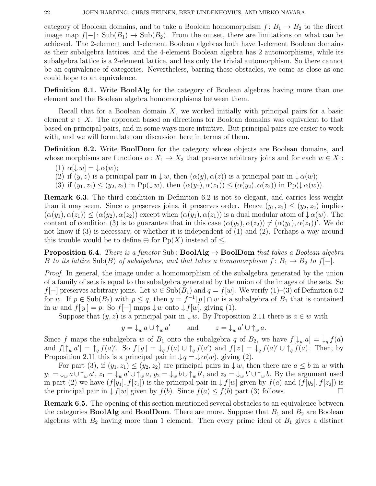category of Boolean domains, and to take a Boolean homomorphism  $f: B_1 \to B_2$  to the direct image map  $f[-]: Sub(B_1) \to Sub(B_2)$ . From the outset, there are limitations on what can be achieved. The 2-element and 1-element Boolean algebras both have 1-element Boolean domains as their subalgebra lattices, and the 4-element Boolean algebra has 2 automorphisms, while its subalgebra lattice is a 2-element lattice, and has only the trivial automorphism. So there cannot be an equivalence of categories. Nevertheless, barring these obstacles, we come as close as one could hope to an equivalence.

Definition 6.1. Write BoolAlg for the category of Boolean algebras having more than one element and the Boolean algebra homomorphisms between them.

Recall that for a Boolean domain  $X$ , we worked initially with principal pairs for a basic element  $x \in X$ . The approach based on directions for Boolean domains was equivalent to that based on principal pairs, and in some ways more intuitive. But principal pairs are easier to work with, and we will formulate our discussion here in terms of them.

Definition 6.2. Write BoolDom for the category whose objects are Boolean domains, and whose morphisms are functions  $\alpha: X_1 \to X_2$  that preserve arbitrary joins and for each  $w \in X_1$ :

- (1)  $\alpha[\downarrow w] = \downarrow \alpha(w);$
- (2) if  $(y, z)$  is a principal pair in  $\downarrow w$ , then  $(\alpha(y), \alpha(z))$  is a principal pair in  $\downarrow \alpha(w)$ ;
- (3) if  $(y_1, z_1) \leq (y_2, z_2)$  in Pp( $\downarrow w$ ), then  $(\alpha(y_1), \alpha(z_1)) \leq (\alpha(y_2), \alpha(z_2))$  in Pp( $\downarrow \alpha(w)$ ).

Remark 6.3. The third condition in Definition 6.2 is not so elegant, and carries less weight than it may seem. Since  $\alpha$  preserves joins, it preserves order. Hence  $(y_1, z_1) \leq (y_2, z_2)$  implies  $(\alpha(y_1), \alpha(z_1)) \leq (\alpha(y_2), \alpha(z_2))$  except when  $(\alpha(y_1), \alpha(z_1))$  is a dual modular atom of  $\downarrow \alpha(w)$ . The content of condition (3) is to guarantee that in this case  $(\alpha(y_2), \alpha(z_2)) \neq (\alpha(y_1), \alpha(z_1))'$ . We do not know if (3) is necessary, or whether it is independent of (1) and (2). Perhaps a way around this trouble would be to define  $\oplus$  for Pp(X) instead of  $\leq$ .

**Proposition 6.4.** There is a functor Sub:  $\text{BoolAlg} \to \text{BoolDom}$  that takes a Boolean algebra B to its lattice Sub(B) of subalgebras, and that takes a homomorphism  $f: B_1 \to B_2$  to  $f[-]$ .

Proof. In general, the image under a homomorphism of the subalgebra generated by the union of a family of sets is equal to the subalgebra generated by the union of the images of the sets. So f[-] preserves arbitrary joins. Let  $w \in Sub(B_1)$  and  $q = f[w]$ . We verify (1)–(3) of Definition 6.2 for w. If  $p \in Sub(B_2)$  with  $p \leq q$ , then  $y = f^{-1}[p] \cap w$  is a subalgebra of  $B_1$  that is contained in w and  $f[y] = p$ . So  $f[-]$  maps  $\downarrow w$  onto  $\downarrow f[w]$ , giving (1).

Suppose that  $(y, z)$  is a principal pair in  $\downarrow w$ . By Proposition 2.11 there is  $a \in w$  with

 $y = \downarrow_w a \cup \uparrow_w a'$  and  $z = \downarrow_w a' \cup \uparrow_w a$ .

Since f maps the subalgebra w of  $B_1$  onto the subalgebra q of  $B_2$ , we have  $f[\downarrow_w a] = \downarrow_q f(a)$ and  $f[\uparrow_w a'] = \uparrow_q f(a)'$ . So  $f[y] = \downarrow_q f(a) \cup \uparrow_q f(a')$  and  $f[z] = \downarrow_q f(a)' \cup \uparrow_q f(a)$ . Then, by Proposition 2.11 this is a principal pair in  $\downarrow q = \downarrow \alpha(w)$ , giving (2).

For part (3), if  $(y_1, z_1) \le (y_2, z_2)$  are principal pairs in  $\downarrow w$ , then there are  $a \le b$  in w with  $y_1 = \downarrow_w a \cup \uparrow_w a', z_1 = \downarrow_w a' \cup \uparrow_w a, y_2 = \downarrow_w b \cup \uparrow_w b',$  and  $z_2 = \downarrow_w b' \cup \uparrow_w b$ . By the argument used in part (2) we have  $(f[y_1], f[z_1])$  is the principal pair in  $\downarrow f[w]$  given by  $f(a)$  and  $(f[y_2], f[z_2])$  is the principal pair in  $\downarrow f[w]$  given by  $f(b)$ . Since  $f(a) \leq f(b)$  part (3) follows.

Remark 6.5. The opening of this section mentioned several obstacles to an equivalence between the categories **BoolAlg** and **BoolDom**. There are more. Suppose that  $B_1$  and  $B_2$  are Boolean algebras with  $B_2$  having more than 1 element. Then every prime ideal of  $B_1$  gives a distinct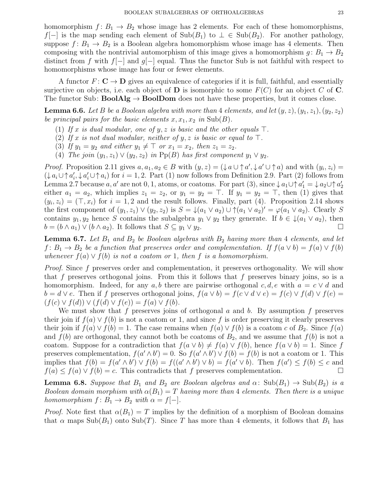homomorphism  $f: B_1 \to B_2$  whose image has 2 elements. For each of these homomorphisms,  $f[-]$  is the map sending each element of  $\text{Sub}(B_1)$  to  $\perp \in \text{Sub}(B_2)$ . For another pathology, suppose  $f: B_1 \to B_2$  is a Boolean algebra homomorphism whose image has 4 elements. Then composing with the nontrivial automorphism of this image gives a homomorphism  $g: B_1 \to B_2$ distinct from f with  $f[-]$  and  $g[-]$  equal. Thus the functor Sub is not faithful with respect to homomorphisms whose image has four or fewer elements.

A functor  $F: \mathbb{C} \to \mathbb{D}$  gives an equivalence of categories if it is full, faithful, and essentially surjective on objects, i.e. each object of **D** is isomorphic to some  $F(C)$  for an object C of **C**. The functor Sub:  $\text{BoolAlg} \to \text{BoolDom}$  does not have these properties, but it comes close.

**Lemma 6.6.** Let B be a Boolean algebra with more than 4 elements, and let  $(y, z)$ ,  $(y_1, z_1)$ ,  $(y_2, z_2)$ be principal pairs for the basic elements  $x, x_1, x_2$  in  $\text{Sub}(B)$ .

- (1) If x is dual modular, one of y, z is basic and the other equals  $\top$ .
- (2) If x is not dual modular, neither of y, z is basic or equal to  $\top$ .
- (3) If  $y_1 = y_2$  and either  $y_1 \neq \top$  or  $x_1 = x_2$ , then  $z_1 = z_2$ .
- (4) The join  $(y_1, z_1) \vee (y_2, z_2)$  in Pp(B) has first component  $y_1 \vee y_2$ .

*Proof.* Proposition 2.11 gives  $a, a_1, a_2 \in B$  with  $(y, z) = (\frac{1}{4}a \cup \uparrow a', \frac{1}{4}a' \cup \uparrow a)$  and with  $(y_i, z_i) =$  $(\downarrow a_i \cup \uparrow a'_i, \downarrow a'_i \cup \uparrow a_i)$  for  $i = 1, 2$ . Part (1) now follows from Definition 2.9. Part (2) follows from Lemma 2.7 because  $a, a'$  are not 0, 1, atoms, or coatoms. For part (3), since  $\downarrow a_1 \cup \uparrow a'_1 = \downarrow a_2 \cup \uparrow a'_2$ either  $a_1 = a_2$ , which implies  $z_1 = z_2$ , or  $y_1 = y_2 = \top$ . If  $y_1 = y_2 = \top$ , then (1) gives that  $(y_i, z_i) = (\top, x_i)$  for  $i = 1, 2$  and the result follows. Finally, part (4). Proposition 2.14 shows the first component of  $(y_1, z_1) \vee (y_2, z_2)$  is  $S = \bigcup (a_1 \vee a_2) \cup \bigcap (a_1 \vee a_2)' = \varphi(a_1 \vee a_2)$ . Clearly S contains  $y_1, y_2$  hence S contains the subalgebra  $y_1 \vee y_2$  they generate. If  $b \in \mathcal{L}(a_1 \vee a_2)$ , then  $b = (b \wedge a_1) \vee (b \wedge a_2)$ . It follows that  $S \subseteq y_1 \vee y_2$ .

**Lemma 6.7.** Let  $B_1$  and  $B_2$  be Boolean algebras with  $B_2$  having more than 4 elements, and let  $f: B_1 \to B_2$  be a function that preserves order and complementation. If  $f(a \vee b) = f(a) \vee f(b)$ whenever  $f(a) \vee f(b)$  is not a coatom or 1, then f is a homomorphism.

Proof. Since f preserves order and complementation, it preserves orthogonality. We will show that f preserves orthogonal joins. From this it follows that f preserves binary joins, so is a homomorphism. Indeed, for any a, b there are pairwise orthogonal c, d, e with  $a = c \vee d$  and  $b = d \vee e$ . Then if f preserves orthogonal joins,  $f(a \vee b) = f(c \vee d \vee e) = f(c) \vee f(d) \vee f(e)$  $(f(c) \vee f(d)) \vee (f(d) \vee f(e)) = f(a) \vee f(b).$ 

We must show that f preserves joins of orthogonal  $a$  and  $b$ . By assumption f preserves their join if  $f(a) \vee f(b)$  is not a coatom or 1, and since f is order preserving it clearly preserves their join if  $f(a) \vee f(b) = 1$ . The case remains when  $f(a) \vee f(b)$  is a coatom c of  $B_2$ . Since  $f(a)$ and  $f(b)$  are orthogonal, they cannot both be coatoms of  $B_2$ , and we assume that  $f(b)$  is not a coatom. Suppose for a contradiction that  $f(a \vee b) \neq f(a) \vee f(b)$ , hence  $f(a \vee b) = 1$ . Since f preserves complementation,  $f(a' \wedge b') = 0$ . So  $f(a' \wedge b') \vee f(b) = f(b)$  is not a coatom or 1. This implies that  $f(b) = f(a' \wedge b') \vee f(b) = f((a' \wedge b') \vee b) = f(a' \vee b)$ . Then  $f(a') \leq f(b) \leq c$  and  $f(a) \le f(a) \vee f(b) = c$ . This contradicts that f preserves complementation.

**Lemma 6.8.** Suppose that  $B_1$  and  $B_2$  are Boolean algebras and  $\alpha$ : Sub $(B_1) \rightarrow Sub(B_2)$  is a Boolean domain morphism with  $\alpha(B_1) = T$  having more than 4 elements. Then there is a unique homomorphism  $f: B_1 \to B_2$  with  $\alpha = f[-]$ .

*Proof.* Note first that  $\alpha(B_1) = T$  implies by the definition of a morphism of Boolean domains that  $\alpha$  maps  $\text{Sub}(B_1)$  onto  $\text{Sub}(T)$ . Since T has more than 4 elements, it follows that  $B_1$  has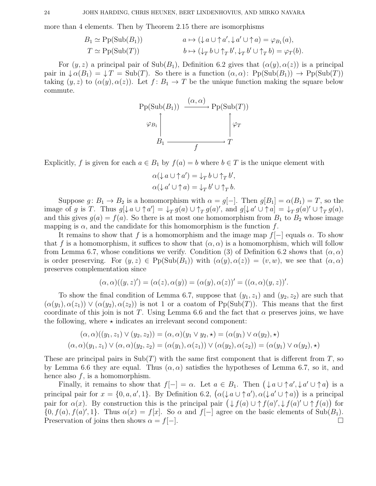more than 4 elements. Then by Theorem 2.15 there are isomorphisms

$$
B_1 \simeq \text{Pp}(\text{Sub}(B_1)) \qquad a \mapsto (\downarrow a \cup \uparrow a', \downarrow a' \cup \uparrow a) = \varphi_{B_1}(a),
$$
  

$$
T \simeq \text{Pp}(\text{Sub}(T)) \qquad b \mapsto (\downarrow_T b \cup \uparrow_T b', \downarrow_T b' \cup \uparrow_T b) = \varphi_T(b).
$$

For  $(y, z)$  a principal pair of Sub $(B_1)$ , Definition 6.2 gives that  $(\alpha(y), \alpha(z))$  is a principal pair in  $\downarrow \alpha(B_1) = \downarrow T = Sub(T)$ . So there is a function  $(\alpha, \alpha)$ : Pp(Sub $(B_1)$ )  $\rightarrow$  Pp(Sub $(T)$ ) taking  $(y, z)$  to  $(\alpha(y), \alpha(z))$ . Let  $f: B_1 \to T$  be the unique function making the square below commute.



Explicitly, f is given for each  $a \in B_1$  by  $f(a) = b$  where  $b \in T$  is the unique element with

$$
\alpha(\downarrow a \cup \uparrow a') = \downarrow_T b \cup \uparrow_T b',
$$
  

$$
\alpha(\downarrow a' \cup \uparrow a) = \downarrow_T b' \cup \uparrow_T b.
$$

Suppose  $g: B_1 \to B_2$  is a homomorphism with  $\alpha = g[-]$ . Then  $g[B_1] = \alpha(B_1) = T$ , so the image of g is T. Thus  $g[\downarrow a \cup \uparrow a'] = \downarrow_T g(a) \cup \uparrow_T g(a)'$ , and  $g[\downarrow a' \cup \uparrow a] = \downarrow_T g(a)' \cup \uparrow_T g(a)$ , and this gives  $g(a) = f(a)$ . So there is at most one homomorphism from  $B_1$  to  $B_2$  whose image mapping is  $\alpha$ , and the candidate for this homomorphism is the function f.

It remains to show that f is a homomorphism and the image map  $f[-]$  equals  $\alpha$ . To show that f is a homomorphism, it suffices to show that  $(\alpha, \alpha)$  is a homomorphism, which will follow from Lemma 6.7, whose conditions we verify. Condition (3) of Definition 6.2 shows that  $(\alpha, \alpha)$ is order preserving. For  $(y, z) \in \text{Pp}(\text{Sub}(B_1))$  with  $(\alpha(y), \alpha(z)) = (v, w)$ , we see that  $(\alpha, \alpha)$ preserves complementation since

$$
(\alpha, \alpha)((y, z)') = (\alpha(z), \alpha(y)) = (\alpha(y), \alpha(z))' = ((\alpha, \alpha)(y, z))'.
$$

To show the final condition of Lemma 6.7, suppose that  $(y_1, z_1)$  and  $(y_2, z_2)$  are such that  $(\alpha(y_1), \alpha(z_1)) \vee (\alpha(y_2), \alpha(z_2))$  is not 1 or a coatom of Pp(Sub(T)). This means that the first coordinate of this join is not T. Using Lemma 6.6 and the fact that  $\alpha$  preserves joins, we have the following, where  $\star$  indicates an irrelevant second component:

$$
(\alpha, \alpha)((y_1, z_1) \vee (y_2, z_2)) = (\alpha, \alpha)(y_1 \vee y_2, \star) = (\alpha(y_1) \vee \alpha(y_2), \star)
$$

$$
(\alpha, \alpha)(y_1, z_1) \vee (\alpha, \alpha)(y_2, z_2) = (\alpha(y_1), \alpha(z_1)) \vee (\alpha(y_2), \alpha(z_2)) = (\alpha(y_1) \vee \alpha(y_2), \star)
$$

These are principal pairs in  $\text{Sub}(T)$  with the same first component that is different from T, so by Lemma 6.6 they are equal. Thus  $(\alpha, \alpha)$  satisfies the hypotheses of Lemma 6.7, so it, and hence also  $f$ , is a homomorphism.

Finally, it remains to show that  $f[-] = \alpha$ . Let  $a \in B_1$ . Then  $(\downarrow a \cup \uparrow a', \downarrow a' \cup \uparrow a)$  is a principal pair for  $x = \{0, a, a', 1\}$ . By Definition 6.2,  $(\alpha(\downarrow a \cup \uparrow a'), \alpha(\downarrow a' \cup \uparrow a))$  is a principal pair for  $\alpha(x)$ . By construction this is the principal pair  $(\downarrow f(a) \cup \uparrow f(a)', \downarrow f(a)' \cup \uparrow f(a))$  for  $\{0, f(a), f(a)', 1\}.$  Thus  $\alpha(x) = f[x]$ . So  $\alpha$  and  $f[-]$  agree on the basic elements of Sub $(B_1)$ . Preservation of joins then shows  $\alpha = f[-]$ .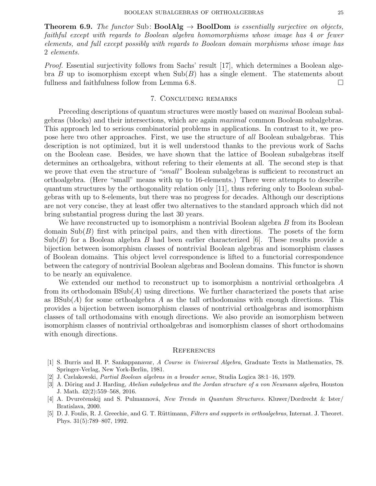**Theorem 6.9.** The functor Sub: **BoolAlg**  $\rightarrow$  **BoolDom** is essentially surjective on objects, faithful except with regards to Boolean algebra homomorphisms whose image has 4 or fewer elements, and full except possibly with regards to Boolean domain morphisms whose image has 2 elements.

Proof. Essential surjectivity follows from Sachs' result [17], which determines a Boolean algebra B up to isomorphism except when  $\text{Sub}(B)$  has a single element. The statements about fullness and faithfulness follow from Lemma 6.8.

# 7. Concluding remarks

Preceding descriptions of quantum structures were mostly based on *maximal* Boolean subalgebras (blocks) and their intersections, which are again maximal common Boolean subalgebras. This approach led to serious combinatorial problems in applications. In contrast to it, we propose here two other approaches. First, we use the structure of all Boolean subalgebras. This description is not optimized, but it is well understood thanks to the previous work of Sachs on the Boolean case. Besides, we have shown that the lattice of Boolean subalgebras itself determines an orthoalgebra, without refering to their elements at all. The second step is that we prove that even the structure of "small" Boolean subalgebras is sufficient to reconstruct an orthoalgebra. (Here "small" means with up to 16-elements.) There were attempts to describe quantum structures by the orthogonality relation only [11], thus refering only to Boolean subalgebras with up to 8-elements, but there was no progress for decades. Although our descriptions are not very concise, they at least offer two alternatives to the standard approach which did not bring substantial progress during the last 30 years.

We have reconstructed up to isomorphism a nontrivial Boolean algebra B from its Boolean domain  $\text{Sub}(B)$  first with principal pairs, and then with directions. The posets of the form  $\text{Sub}(B)$  for a Boolean algebra B had been earlier characterized [6]. These results provide a bijection between isomorphism classes of nontrivial Boolean algebras and isomorphism classes of Boolean domains. This object level correspondence is lifted to a functorial correspondence between the category of nontrivial Boolean algebras and Boolean domains. This functor is shown to be nearly an equivalence.

We extended our method to reconstruct up to isomorphism a nontrivial orthoalgebra A from its orthodomain  $BSub(A)$  using directions. We further characterized the posets that arise as  $BSub(A)$  for some orthoalgebra A as the tall orthodomains with enough directions. This provides a bijection between isomorphism classes of nontrivial orthoalgebras and isomorphism classes of tall orthodomains with enough directions. We also provide an isomorphism between isomorphism classes of nontrivial orthoalgebras and isomorphism classes of short orthodomains with enough directions.

### **REFERENCES**

- [1] S. Burris and H. P. Sankappanavar, A Course in Universal Algebra, Graduate Texts in Mathematics, 78. Springer-Verlag, New York-Berlin, 1981.
- [2] J. Czelakowski, Partial Boolean algebras in a broader sense, Studia Logica 38:1–16, 1979.
- [3] A. Döring and J. Harding, Abelian subalgebras and the Jordan structure of a von Neumann algebra, Houston J. Math. 42(2):559–568, 2016.
- [4] A. Dvurečenskij and S. Pulmannová, New Trends in Quantum Structures. Kluwer/Dordrecht & Ister/ Bratislava, 2000.
- [5] D. J. Foulis, R. J. Greechie, and G. T. Rüttimann, Filters and supports in orthoalgebras, Internat. J. Theoret. Phys. 31(5):789–807, 1992.